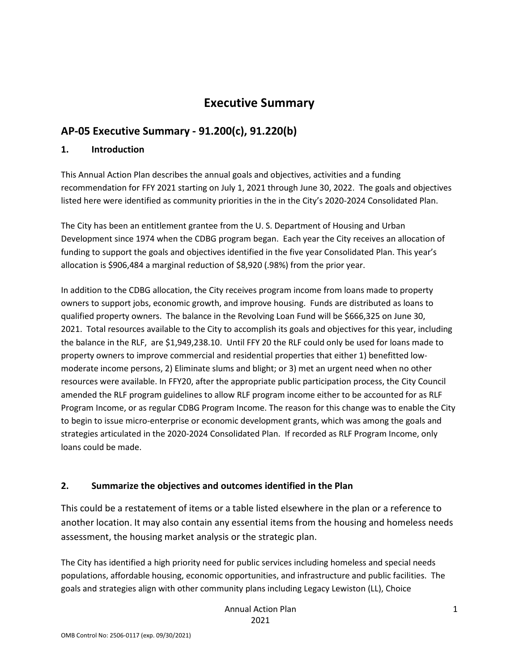## **Executive Summary**

## **AP-05 Executive Summary - 91.200(c), 91.220(b)**

### **1. Introduction**

This Annual Action Plan describes the annual goals and objectives, activities and a funding recommendation for FFY 2021 starting on July 1, 2021 through June 30, 2022. The goals and objectives listed here were identified as community priorities in the in the City's 2020-2024 Consolidated Plan.

The City has been an entitlement grantee from the U. S. Department of Housing and Urban Development since 1974 when the CDBG program began. Each year the City receives an allocation of funding to support the goals and objectives identified in the five year Consolidated Plan. This year's allocation is \$906,484 a marginal reduction of \$8,920 (.98%) from the prior year.

In addition to the CDBG allocation, the City receives program income from loans made to property owners to support jobs, economic growth, and improve housing. Funds are distributed as loans to qualified property owners. The balance in the Revolving Loan Fund will be \$666,325 on June 30, 2021. Total resources available to the City to accomplish its goals and objectives for this year, including the balance in the RLF, are \$1,949,238.10. Until FFY 20 the RLF could only be used for loans made to property owners to improve commercial and residential properties that either 1) benefitted lowmoderate income persons, 2) Eliminate slums and blight; or 3) met an urgent need when no other resources were available. In FFY20, after the appropriate public participation process, the City Council amended the RLF program guidelines to allow RLF program income either to be accounted for as RLF Program Income, or as regular CDBG Program Income. The reason for this change was to enable the City to begin to issue micro-enterprise or economic development grants, which was among the goals and strategies articulated in the 2020-2024 Consolidated Plan. If recorded as RLF Program Income, only loans could be made.

## **2. Summarize the objectives and outcomes identified in the Plan**

This could be a restatement of items or a table listed elsewhere in the plan or a reference to another location. It may also contain any essential items from the housing and homeless needs assessment, the housing market analysis or the strategic plan.

The City has identified a high priority need for public services including homeless and special needs populations, affordable housing, economic opportunities, and infrastructure and public facilities. The goals and strategies align with other community plans including Legacy Lewiston (LL), Choice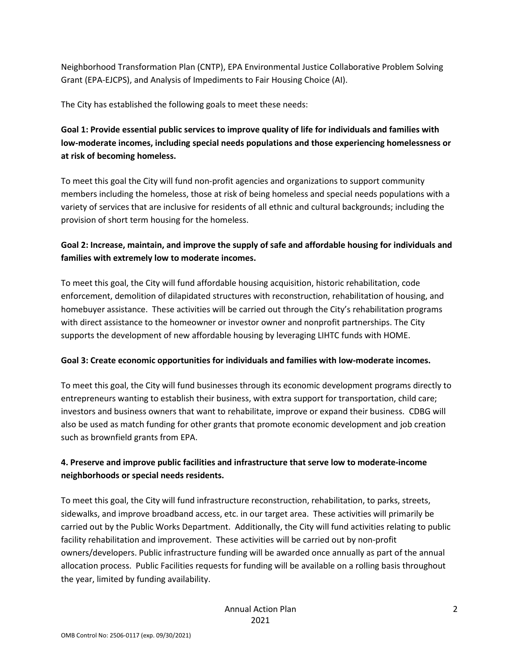Neighborhood Transformation Plan (CNTP), EPA Environmental Justice Collaborative Problem Solving Grant (EPA-EJCPS), and Analysis of Impediments to Fair Housing Choice (AI).

The City has established the following goals to meet these needs:

## **Goal 1: Provide essential public services to improve quality of life for individuals and families with low-moderate incomes, including special needs populations and those experiencing homelessness or at risk of becoming homeless.**

To meet this goal the City will fund non-profit agencies and organizations to support community members including the homeless, those at risk of being homeless and special needs populations with a variety of services that are inclusive for residents of all ethnic and cultural backgrounds; including the provision of short term housing for the homeless.

## **Goal 2: Increase, maintain, and improve the supply of safe and affordable housing for individuals and families with extremely low to moderate incomes.**

To meet this goal, the City will fund affordable housing acquisition, historic rehabilitation, code enforcement, demolition of dilapidated structures with reconstruction, rehabilitation of housing, and homebuyer assistance. These activities will be carried out through the City's rehabilitation programs with direct assistance to the homeowner or investor owner and nonprofit partnerships. The City supports the development of new affordable housing by leveraging LIHTC funds with HOME.

### **Goal 3: Create economic opportunities for individuals and families with low-moderate incomes.**

To meet this goal, the City will fund businesses through its economic development programs directly to entrepreneurs wanting to establish their business, with extra support for transportation, child care; investors and business owners that want to rehabilitate, improve or expand their business. CDBG will also be used as match funding for other grants that promote economic development and job creation such as brownfield grants from EPA.

### **4. Preserve and improve public facilities and infrastructure that serve low to moderate-income neighborhoods or special needs residents.**

To meet this goal, the City will fund infrastructure reconstruction, rehabilitation, to parks, streets, sidewalks, and improve broadband access, etc. in our target area. These activities will primarily be carried out by the Public Works Department. Additionally, the City will fund activities relating to public facility rehabilitation and improvement. These activities will be carried out by non-profit owners/developers. Public infrastructure funding will be awarded once annually as part of the annual allocation process. Public Facilities requests for funding will be available on a rolling basis throughout the year, limited by funding availability.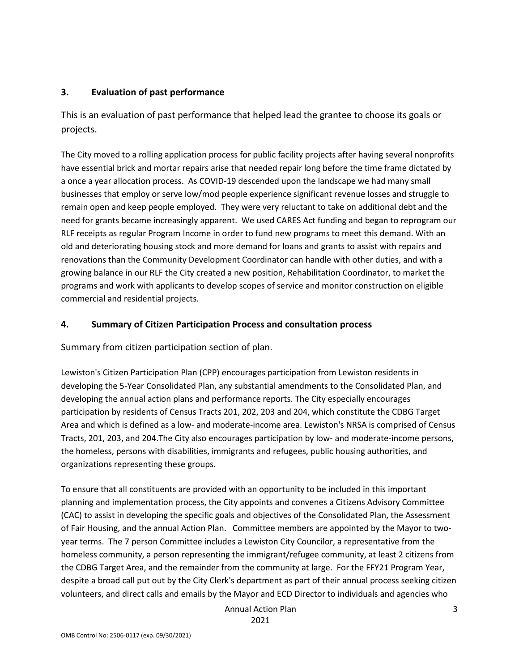### **3. Evaluation of past performance**

This is an evaluation of past performance that helped lead the grantee to choose its goals or projects.

The City moved to a rolling application process for public facility projects after having several nonprofits have essential brick and mortar repairs arise that needed repair long before the time frame dictated by a once a year allocation process. As COVID-19 descended upon the landscape we had many small businesses that employ or serve low/mod people experience significant revenue losses and struggle to remain open and keep people employed. They were very reluctant to take on additional debt and the need for grants became increasingly apparent. We used CARES Act funding and began to reprogram our RLF receipts as regular Program Income in order to fund new programs to meet this demand. With an old and deteriorating housing stock and more demand for loans and grants to assist with repairs and renovations than the Community Development Coordinator can handle with other duties, and with a growing balance in our RLF the City created a new position, Rehabilitation Coordinator, to market the programs and work with applicants to develop scopes of service and monitor construction on eligible commercial and residential projects.

### **4. Summary of Citizen Participation Process and consultation process**

Summary from citizen participation section of plan.

Lewiston's Citizen Participation Plan (CPP) encourages participation from Lewiston residents in developing the 5-Year Consolidated Plan, any substantial amendments to the Consolidated Plan, and developing the annual action plans and performance reports. The City especially encourages participation by residents of Census Tracts 201, 202, 203 and 204, which constitute the CDBG Target Area and which is defined as a low- and moderate-income area. Lewiston's NRSA is comprised of Census Tracts, 201, 203, and 204.The City also encourages participation by low- and moderate-income persons, the homeless, persons with disabilities, immigrants and refugees, public housing authorities, and organizations representing these groups.

To ensure that all constituents are provided with an opportunity to be included in this important planning and implementation process, the City appoints and convenes a Citizens Advisory Committee (CAC) to assist in developing the specific goals and objectives of the Consolidated Plan, the Assessment of Fair Housing, and the annual Action Plan. Committee members are appointed by the Mayor to twoyear terms. The 7 person Committee includes a Lewiston City Councilor, a representative from the homeless community, a person representing the immigrant/refugee community, at least 2 citizens from the CDBG Target Area, and the remainder from the community at large. For the FFY21 Program Year, despite a broad call put out by the City Clerk's department as part of their annual process seeking citizen volunteers, and direct calls and emails by the Mayor and ECD Director to individuals and agencies who

Annual Action Plan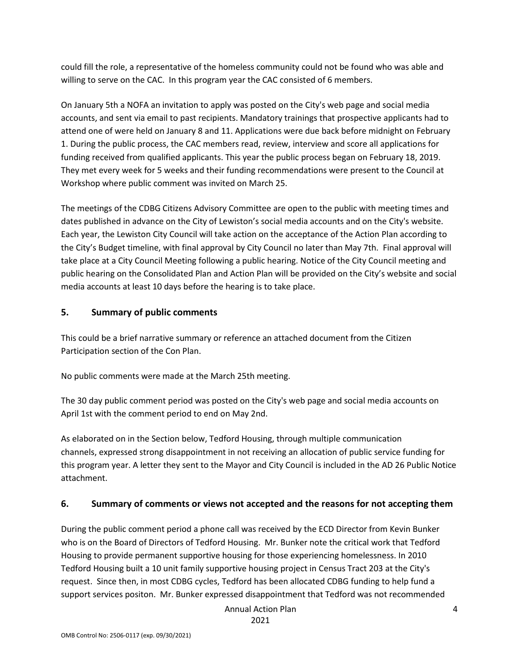could fill the role, a representative of the homeless community could not be found who was able and willing to serve on the CAC. In this program year the CAC consisted of 6 members.

On January 5th a NOFA an invitation to apply was posted on the City's web page and social media accounts, and sent via email to past recipients. Mandatory trainings that prospective applicants had to attend one of were held on January 8 and 11. Applications were due back before midnight on February 1. During the public process, the CAC members read, review, interview and score all applications for funding received from qualified applicants. This year the public process began on February 18, 2019. They met every week for 5 weeks and their funding recommendations were present to the Council at Workshop where public comment was invited on March 25.

The meetings of the CDBG Citizens Advisory Committee are open to the public with meeting times and dates published in advance on the City of Lewiston's social media accounts and on the City's website. Each year, the Lewiston City Council will take action on the acceptance of the Action Plan according to the City's Budget timeline, with final approval by City Council no later than May 7th. Final approval will take place at a City Council Meeting following a public hearing. Notice of the City Council meeting and public hearing on the Consolidated Plan and Action Plan will be provided on the City's website and social media accounts at least 10 days before the hearing is to take place.

### **5. Summary of public comments**

This could be a brief narrative summary or reference an attached document from the Citizen Participation section of the Con Plan.

No public comments were made at the March 25th meeting.

The 30 day public comment period was posted on the City's web page and social media accounts on April 1st with the comment period to end on May 2nd.

As elaborated on in the Section below, Tedford Housing, through multiple communication channels, expressed strong disappointment in not receiving an allocation of public service funding for this program year. A letter they sent to the Mayor and City Council is included in the AD 26 Public Notice attachment.

## **6. Summary of comments or views not accepted and the reasons for not accepting them**

During the public comment period a phone call was received by the ECD Director from Kevin Bunker who is on the Board of Directors of Tedford Housing. Mr. Bunker note the critical work that Tedford Housing to provide permanent supportive housing for those experiencing homelessness. In 2010 Tedford Housing built a 10 unit family supportive housing project in Census Tract 203 at the City's request. Since then, in most CDBG cycles, Tedford has been allocated CDBG funding to help fund a support services positon. Mr. Bunker expressed disappointment that Tedford was not recommended

Annual Action Plan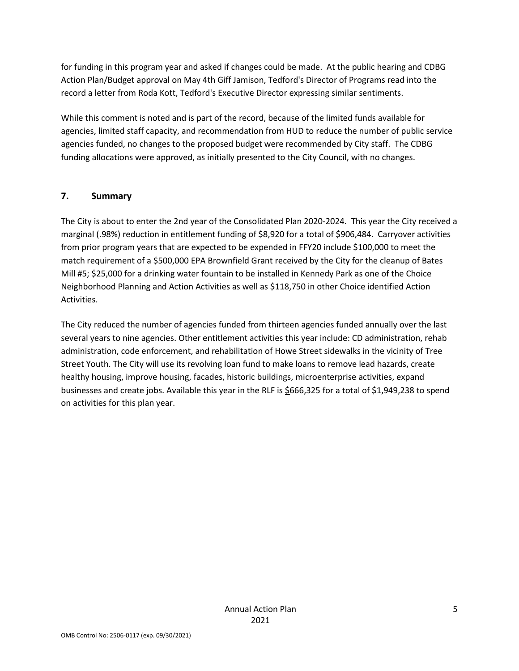for funding in this program year and asked if changes could be made. At the public hearing and CDBG Action Plan/Budget approval on May 4th Giff Jamison, Tedford's Director of Programs read into the record a letter from Roda Kott, Tedford's Executive Director expressing similar sentiments.

While this comment is noted and is part of the record, because of the limited funds available for agencies, limited staff capacity, and recommendation from HUD to reduce the number of public service agencies funded, no changes to the proposed budget were recommended by City staff. The CDBG funding allocations were approved, as initially presented to the City Council, with no changes.

### **7. Summary**

The City is about to enter the 2nd year of the Consolidated Plan 2020-2024. This year the City received a marginal (.98%) reduction in entitlement funding of \$8,920 for a total of \$906,484. Carryover activities from prior program years that are expected to be expended in FFY20 include \$100,000 to meet the match requirement of a \$500,000 EPA Brownfield Grant received by the City for the cleanup of Bates Mill #5; \$25,000 for a drinking water fountain to be installed in Kennedy Park as one of the Choice Neighborhood Planning and Action Activities as well as \$118,750 in other Choice identified Action Activities.

The City reduced the number of agencies funded from thirteen agencies funded annually over the last several years to nine agencies. Other entitlement activities this year include: CD administration, rehab administration, code enforcement, and rehabilitation of Howe Street sidewalks in the vicinity of Tree Street Youth. The City will use its revolving loan fund to make loans to remove lead hazards, create healthy housing, improve housing, facades, historic buildings, microenterprise activities, expand businesses and create jobs. Available this year in the RLF is \$666,325 for a total of \$1,949,238 to spend on activities for this plan year.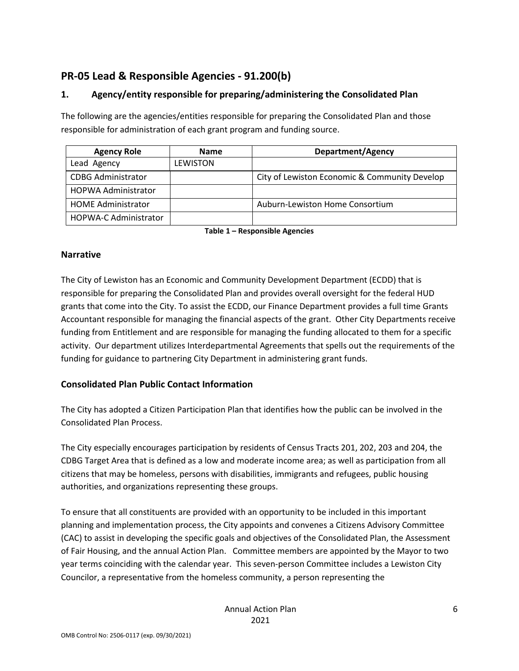## **PR-05 Lead & Responsible Agencies - 91.200(b)**

### **1. Agency/entity responsible for preparing/administering the Consolidated Plan**

The following are the agencies/entities responsible for preparing the Consolidated Plan and those responsible for administration of each grant program and funding source.

| <b>Agency Role</b>           | <b>Name</b>     | <b>Department/Agency</b>                      |
|------------------------------|-----------------|-----------------------------------------------|
| Lead Agency                  | <b>LEWISTON</b> |                                               |
| <b>CDBG Administrator</b>    |                 | City of Lewiston Economic & Community Develop |
| <b>HOPWA Administrator</b>   |                 |                                               |
| <b>HOME Administrator</b>    |                 | Auburn-Lewiston Home Consortium               |
| <b>HOPWA-C Administrator</b> |                 |                                               |

**Table 1 – Responsible Agencies**

### **Narrative**

The City of Lewiston has an Economic and Community Development Department (ECDD) that is responsible for preparing the Consolidated Plan and provides overall oversight for the federal HUD grants that come into the City. To assist the ECDD, our Finance Department provides a full time Grants Accountant responsible for managing the financial aspects of the grant. Other City Departments receive funding from Entitlement and are responsible for managing the funding allocated to them for a specific activity. Our department utilizes Interdepartmental Agreements that spells out the requirements of the funding for guidance to partnering City Department in administering grant funds.

### **Consolidated Plan Public Contact Information**

The City has adopted a Citizen Participation Plan that identifies how the public can be involved in the Consolidated Plan Process.

The City especially encourages participation by residents of Census Tracts 201, 202, 203 and 204, the CDBG Target Area that is defined as a low and moderate income area; as well as participation from all citizens that may be homeless, persons with disabilities, immigrants and refugees, public housing authorities, and organizations representing these groups.

To ensure that all constituents are provided with an opportunity to be included in this important planning and implementation process, the City appoints and convenes a Citizens Advisory Committee (CAC) to assist in developing the specific goals and objectives of the Consolidated Plan, the Assessment of Fair Housing, and the annual Action Plan. Committee members are appointed by the Mayor to two year terms coinciding with the calendar year. This seven-person Committee includes a Lewiston City Councilor, a representative from the homeless community, a person representing the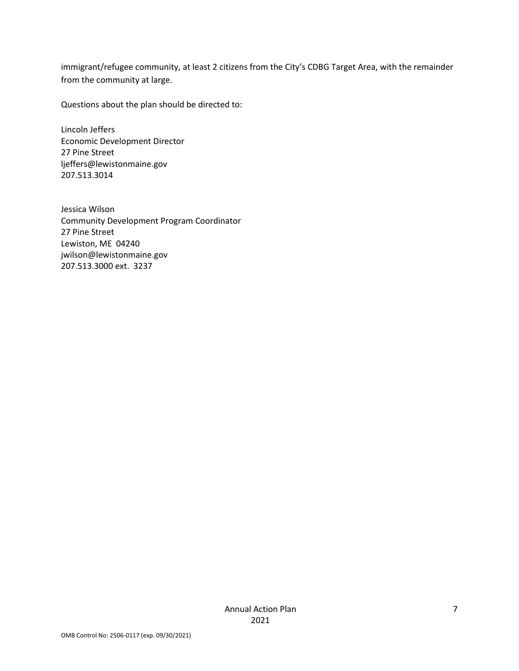immigrant/refugee community, at least 2 citizens from the City's CDBG Target Area, with the remainder from the community at large.

Questions about the plan should be directed to:

Lincoln Jeffers Economic Development Director 27 Pine Street ljeffers@lewistonmaine.gov 207.513.3014

Jessica Wilson Community Development Program Coordinator 27 Pine Street Lewiston, ME 04240 jwilson@lewistonmaine.gov 207.513.3000 ext. 3237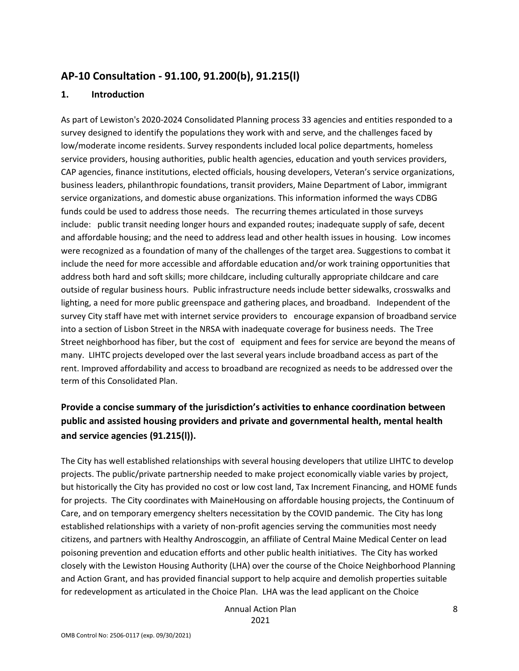## **AP-10 Consultation - 91.100, 91.200(b), 91.215(l)**

### **1. Introduction**

As part of Lewiston's 2020-2024 Consolidated Planning process 33 agencies and entities responded to a survey designed to identify the populations they work with and serve, and the challenges faced by low/moderate income residents. Survey respondents included local police departments, homeless service providers, housing authorities, public health agencies, education and youth services providers, CAP agencies, finance institutions, elected officials, housing developers, Veteran's service organizations, business leaders, philanthropic foundations, transit providers, Maine Department of Labor, immigrant service organizations, and domestic abuse organizations. This information informed the ways CDBG funds could be used to address those needs. The recurring themes articulated in those surveys include: public transit needing longer hours and expanded routes; inadequate supply of safe, decent and affordable housing; and the need to address lead and other health issues in housing. Low incomes were recognized as a foundation of many of the challenges of the target area. Suggestions to combat it include the need for more accessible and affordable education and/or work training opportunities that address both hard and soft skills; more childcare, including culturally appropriate childcare and care outside of regular business hours. Public infrastructure needs include better sidewalks, crosswalks and lighting, a need for more public greenspace and gathering places, and broadband. Independent of the survey City staff have met with internet service providers to encourage expansion of broadband service into a section of Lisbon Street in the NRSA with inadequate coverage for business needs. The Tree Street neighborhood has fiber, but the cost of equipment and fees for service are beyond the means of many. LIHTC projects developed over the last several years include broadband access as part of the rent. Improved affordability and access to broadband are recognized as needs to be addressed over the term of this Consolidated Plan.

## **Provide a concise summary of the jurisdiction's activities to enhance coordination between public and assisted housing providers and private and governmental health, mental health and service agencies (91.215(l)).**

The City has well established relationships with several housing developers that utilize LIHTC to develop projects. The public/private partnership needed to make project economically viable varies by project, but historically the City has provided no cost or low cost land, Tax Increment Financing, and HOME funds for projects. The City coordinates with MaineHousing on affordable housing projects, the Continuum of Care, and on temporary emergency shelters necessitation by the COVID pandemic. The City has long established relationships with a variety of non-profit agencies serving the communities most needy citizens, and partners with Healthy Androscoggin, an affiliate of Central Maine Medical Center on lead poisoning prevention and education efforts and other public health initiatives. The City has worked closely with the Lewiston Housing Authority (LHA) over the course of the Choice Neighborhood Planning and Action Grant, and has provided financial support to help acquire and demolish properties suitable for redevelopment as articulated in the Choice Plan. LHA was the lead applicant on the Choice

> Annual Action Plan 2021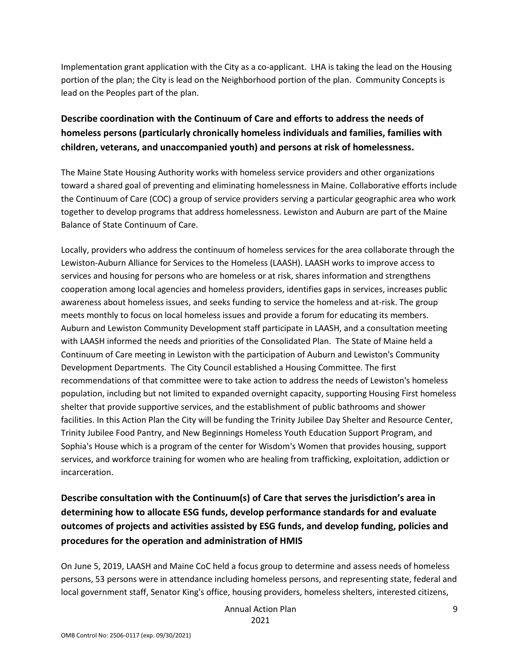Implementation grant application with the City as a co-applicant. LHA is taking the lead on the Housing portion of the plan; the City is lead on the Neighborhood portion of the plan. Community Concepts is lead on the Peoples part of the plan.

## **Describe coordination with the Continuum of Care and efforts to address the needs of homeless persons (particularly chronically homeless individuals and families, families with children, veterans, and unaccompanied youth) and persons at risk of homelessness.**

The Maine State Housing Authority works with homeless service providers and other organizations toward a shared goal of preventing and eliminating homelessness in Maine. Collaborative efforts include the Continuum of Care (COC) a group of service providers serving a particular geographic area who work together to develop programs that address homelessness. Lewiston and Auburn are part of the Maine Balance of State Continuum of Care.

Locally, providers who address the continuum of homeless services for the area collaborate through the Lewiston-Auburn Alliance for Services to the Homeless (LAASH). LAASH works to improve access to services and housing for persons who are homeless or at risk, shares information and strengthens cooperation among local agencies and homeless providers, identifies gaps in services, increases public awareness about homeless issues, and seeks funding to service the homeless and at-risk. The group meets monthly to focus on local homeless issues and provide a forum for educating its members. Auburn and Lewiston Community Development staff participate in LAASH, and a consultation meeting with LAASH informed the needs and priorities of the Consolidated Plan. The State of Maine held a Continuum of Care meeting in Lewiston with the participation of Auburn and Lewiston's Community Development Departments. The City Council established a Housing Committee. The first recommendations of that committee were to take action to address the needs of Lewiston's homeless population, including but not limited to expanded overnight capacity, supporting Housing First homeless shelter that provide supportive services, and the establishment of public bathrooms and shower facilities. In this Action Plan the City will be funding the Trinity Jubilee Day Shelter and Resource Center, Trinity Jubilee Food Pantry, and New Beginnings Homeless Youth Education Support Program, and Sophia's House which is a program of the center for Wisdom's Women that provides housing, support services, and workforce training for women who are healing from trafficking, exploitation, addiction or incarceration.

## **Describe consultation with the Continuum(s) of Care that serves the jurisdiction's area in determining how to allocate ESG funds, develop performance standards for and evaluate outcomes of projects and activities assisted by ESG funds, and develop funding, policies and procedures for the operation and administration of HMIS**

On June 5, 2019, LAASH and Maine CoC held a focus group to determine and assess needs of homeless persons, 53 persons were in attendance including homeless persons, and representing state, federal and local government staff, Senator King's office, housing providers, homeless shelters, interested citizens,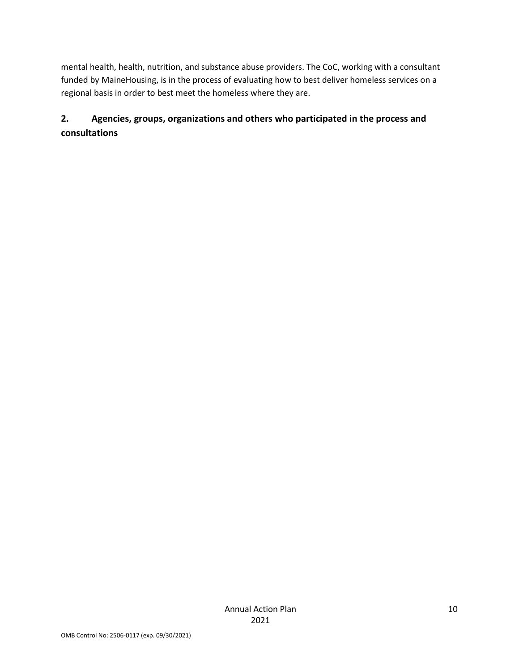mental health, health, nutrition, and substance abuse providers. The CoC, working with a consultant funded by MaineHousing, is in the process of evaluating how to best deliver homeless services on a regional basis in order to best meet the homeless where they are.

## **2. Agencies, groups, organizations and others who participated in the process and consultations**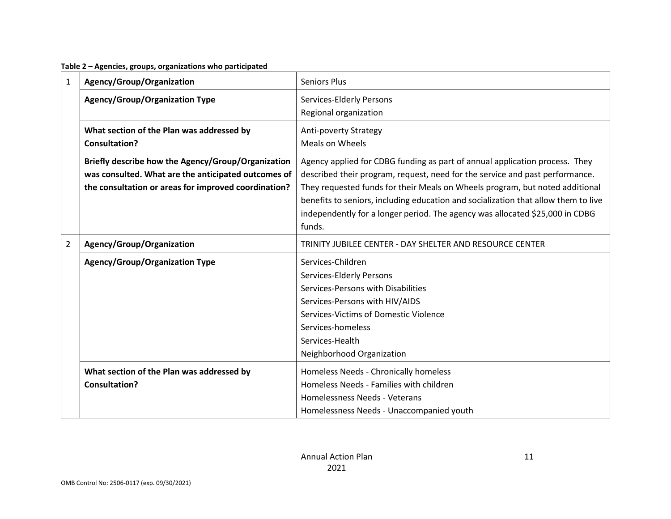**Table 2 – Agencies, groups, organizations who participated**

| $\mathbf{1}$   | Agency/Group/Organization                                                                                                                                         | <b>Seniors Plus</b>                                                                                                                                                                                                                                                                                                                                                                                                         |  |
|----------------|-------------------------------------------------------------------------------------------------------------------------------------------------------------------|-----------------------------------------------------------------------------------------------------------------------------------------------------------------------------------------------------------------------------------------------------------------------------------------------------------------------------------------------------------------------------------------------------------------------------|--|
|                | <b>Agency/Group/Organization Type</b>                                                                                                                             | Services-Elderly Persons<br>Regional organization                                                                                                                                                                                                                                                                                                                                                                           |  |
|                | What section of the Plan was addressed by<br><b>Consultation?</b>                                                                                                 | <b>Anti-poverty Strategy</b><br>Meals on Wheels                                                                                                                                                                                                                                                                                                                                                                             |  |
|                | Briefly describe how the Agency/Group/Organization<br>was consulted. What are the anticipated outcomes of<br>the consultation or areas for improved coordination? | Agency applied for CDBG funding as part of annual application process. They<br>described their program, request, need for the service and past performance.<br>They requested funds for their Meals on Wheels program, but noted additional<br>benefits to seniors, including education and socialization that allow them to live<br>independently for a longer period. The agency was allocated \$25,000 in CDBG<br>funds. |  |
| $\overline{2}$ | Agency/Group/Organization                                                                                                                                         | TRINITY JUBILEE CENTER - DAY SHELTER AND RESOURCE CENTER                                                                                                                                                                                                                                                                                                                                                                    |  |
|                | <b>Agency/Group/Organization Type</b>                                                                                                                             | Services-Children<br>Services-Elderly Persons<br>Services-Persons with Disabilities<br>Services-Persons with HIV/AIDS<br>Services-Victims of Domestic Violence<br>Services-homeless<br>Services-Health<br>Neighborhood Organization                                                                                                                                                                                         |  |
|                | What section of the Plan was addressed by<br>Consultation?                                                                                                        | Homeless Needs - Chronically homeless<br>Homeless Needs - Families with children<br>Homelessness Needs - Veterans<br>Homelessness Needs - Unaccompanied youth                                                                                                                                                                                                                                                               |  |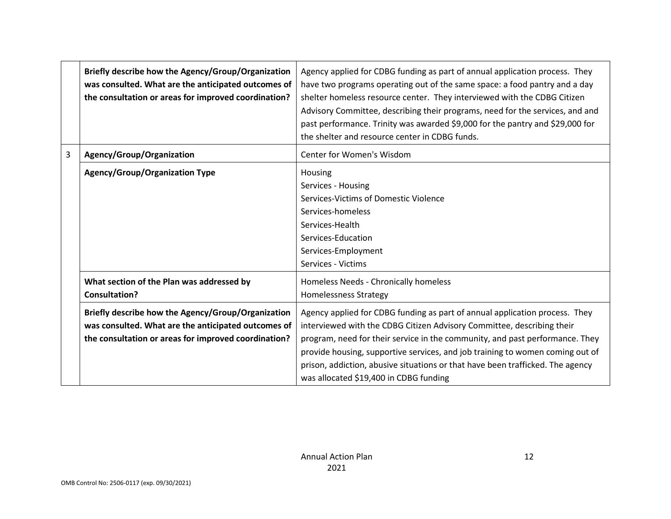|   | Briefly describe how the Agency/Group/Organization<br>was consulted. What are the anticipated outcomes of<br>the consultation or areas for improved coordination? | Agency applied for CDBG funding as part of annual application process. They<br>have two programs operating out of the same space: a food pantry and a day<br>shelter homeless resource center. They interviewed with the CDBG Citizen<br>Advisory Committee, describing their programs, need for the services, and and<br>past performance. Trinity was awarded \$9,000 for the pantry and \$29,000 for<br>the shelter and resource center in CDBG funds. |  |  |  |
|---|-------------------------------------------------------------------------------------------------------------------------------------------------------------------|-----------------------------------------------------------------------------------------------------------------------------------------------------------------------------------------------------------------------------------------------------------------------------------------------------------------------------------------------------------------------------------------------------------------------------------------------------------|--|--|--|
| 3 | Agency/Group/Organization                                                                                                                                         | Center for Women's Wisdom                                                                                                                                                                                                                                                                                                                                                                                                                                 |  |  |  |
|   | <b>Agency/Group/Organization Type</b>                                                                                                                             | Housing<br>Services - Housing<br>Services-Victims of Domestic Violence<br>Services-homeless<br>Services-Health<br>Services-Education<br>Services-Employment<br>Services - Victims                                                                                                                                                                                                                                                                         |  |  |  |
|   | What section of the Plan was addressed by<br>Consultation?                                                                                                        | Homeless Needs - Chronically homeless<br><b>Homelessness Strategy</b>                                                                                                                                                                                                                                                                                                                                                                                     |  |  |  |
|   | Briefly describe how the Agency/Group/Organization<br>was consulted. What are the anticipated outcomes of<br>the consultation or areas for improved coordination? | Agency applied for CDBG funding as part of annual application process. They<br>interviewed with the CDBG Citizen Advisory Committee, describing their<br>program, need for their service in the community, and past performance. They<br>provide housing, supportive services, and job training to women coming out of<br>prison, addiction, abusive situations or that have been trafficked. The agency<br>was allocated \$19,400 in CDBG funding        |  |  |  |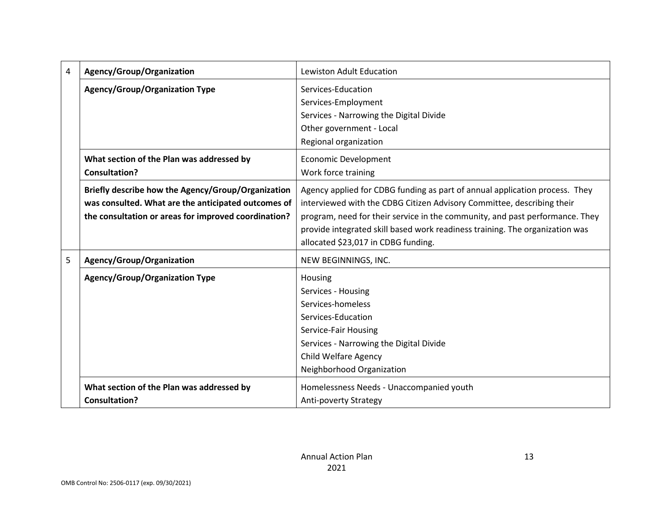| 4 | Agency/Group/Organization                            | <b>Lewiston Adult Education</b>                                              |  |  |
|---|------------------------------------------------------|------------------------------------------------------------------------------|--|--|
|   | <b>Agency/Group/Organization Type</b>                | Services-Education                                                           |  |  |
|   |                                                      | Services-Employment                                                          |  |  |
|   |                                                      | Services - Narrowing the Digital Divide                                      |  |  |
|   |                                                      | Other government - Local                                                     |  |  |
|   |                                                      | Regional organization                                                        |  |  |
|   | What section of the Plan was addressed by            | <b>Economic Development</b>                                                  |  |  |
|   | <b>Consultation?</b>                                 | Work force training                                                          |  |  |
|   | Briefly describe how the Agency/Group/Organization   | Agency applied for CDBG funding as part of annual application process. They  |  |  |
|   | was consulted. What are the anticipated outcomes of  | interviewed with the CDBG Citizen Advisory Committee, describing their       |  |  |
|   | the consultation or areas for improved coordination? | program, need for their service in the community, and past performance. They |  |  |
|   |                                                      | provide integrated skill based work readiness training. The organization was |  |  |
|   |                                                      | allocated \$23,017 in CDBG funding.                                          |  |  |
| 5 | Agency/Group/Organization                            | NEW BEGINNINGS, INC.                                                         |  |  |
|   | <b>Agency/Group/Organization Type</b>                | Housing                                                                      |  |  |
|   |                                                      | Services - Housing                                                           |  |  |
|   |                                                      | Services-homeless                                                            |  |  |
|   |                                                      | Services-Education                                                           |  |  |
|   |                                                      | Service-Fair Housing                                                         |  |  |
|   |                                                      | Services - Narrowing the Digital Divide                                      |  |  |
|   |                                                      | <b>Child Welfare Agency</b>                                                  |  |  |
|   |                                                      | Neighborhood Organization                                                    |  |  |
|   | What section of the Plan was addressed by            | Homelessness Needs - Unaccompanied youth                                     |  |  |
|   | <b>Consultation?</b>                                 | <b>Anti-poverty Strategy</b>                                                 |  |  |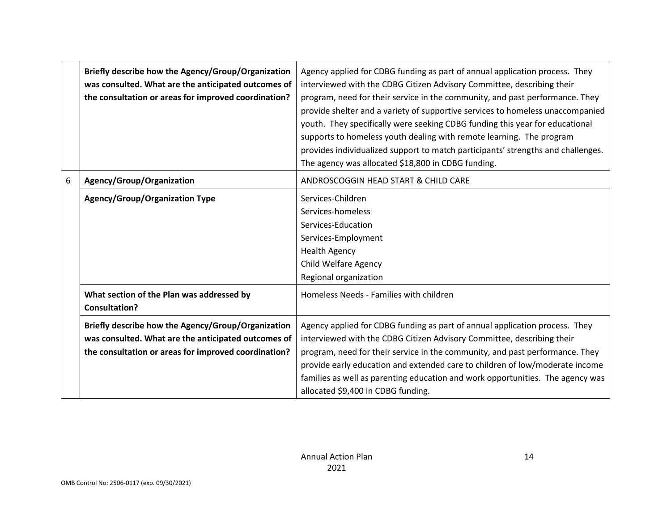|   | Briefly describe how the Agency/Group/Organization<br>was consulted. What are the anticipated outcomes of<br>the consultation or areas for improved coordination? | Agency applied for CDBG funding as part of annual application process. They<br>interviewed with the CDBG Citizen Advisory Committee, describing their<br>program, need for their service in the community, and past performance. They<br>provide shelter and a variety of supportive services to homeless unaccompanied<br>youth. They specifically were seeking CDBG funding this year for educational<br>supports to homeless youth dealing with remote learning. The program<br>provides individualized support to match participants' strengths and challenges.<br>The agency was allocated \$18,800 in CDBG funding. |  |  |
|---|-------------------------------------------------------------------------------------------------------------------------------------------------------------------|---------------------------------------------------------------------------------------------------------------------------------------------------------------------------------------------------------------------------------------------------------------------------------------------------------------------------------------------------------------------------------------------------------------------------------------------------------------------------------------------------------------------------------------------------------------------------------------------------------------------------|--|--|
| 6 | Agency/Group/Organization                                                                                                                                         | ANDROSCOGGIN HEAD START & CHILD CARE                                                                                                                                                                                                                                                                                                                                                                                                                                                                                                                                                                                      |  |  |
|   | <b>Agency/Group/Organization Type</b>                                                                                                                             | Services-Children<br>Services-homeless<br>Services-Education<br>Services-Employment<br><b>Health Agency</b><br>Child Welfare Agency<br>Regional organization                                                                                                                                                                                                                                                                                                                                                                                                                                                              |  |  |
|   | What section of the Plan was addressed by<br><b>Consultation?</b>                                                                                                 | Homeless Needs - Families with children                                                                                                                                                                                                                                                                                                                                                                                                                                                                                                                                                                                   |  |  |
|   | Briefly describe how the Agency/Group/Organization<br>was consulted. What are the anticipated outcomes of<br>the consultation or areas for improved coordination? | Agency applied for CDBG funding as part of annual application process. They<br>interviewed with the CDBG Citizen Advisory Committee, describing their<br>program, need for their service in the community, and past performance. They<br>provide early education and extended care to children of low/moderate income<br>families as well as parenting education and work opportunities. The agency was<br>allocated \$9,400 in CDBG funding.                                                                                                                                                                             |  |  |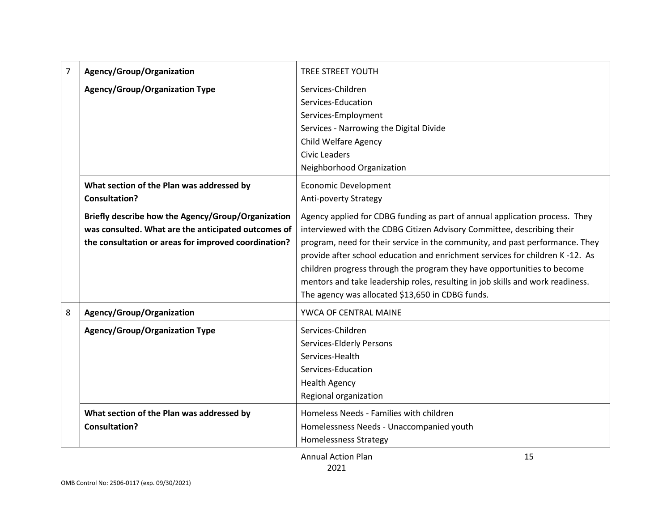| $\overline{7}$ | Agency/Group/Organization                                                                                                                                         | <b>TREE STREET YOUTH</b>                                                                                                                                                                                                                                                                                                                                                                                                                                                                                                               |  |  |
|----------------|-------------------------------------------------------------------------------------------------------------------------------------------------------------------|----------------------------------------------------------------------------------------------------------------------------------------------------------------------------------------------------------------------------------------------------------------------------------------------------------------------------------------------------------------------------------------------------------------------------------------------------------------------------------------------------------------------------------------|--|--|
|                | <b>Agency/Group/Organization Type</b>                                                                                                                             | Services-Children<br>Services-Education<br>Services-Employment<br>Services - Narrowing the Digital Divide<br><b>Child Welfare Agency</b><br><b>Civic Leaders</b><br>Neighborhood Organization                                                                                                                                                                                                                                                                                                                                          |  |  |
|                | What section of the Plan was addressed by<br><b>Consultation?</b>                                                                                                 | <b>Economic Development</b><br><b>Anti-poverty Strategy</b>                                                                                                                                                                                                                                                                                                                                                                                                                                                                            |  |  |
|                | Briefly describe how the Agency/Group/Organization<br>was consulted. What are the anticipated outcomes of<br>the consultation or areas for improved coordination? | Agency applied for CDBG funding as part of annual application process. They<br>interviewed with the CDBG Citizen Advisory Committee, describing their<br>program, need for their service in the community, and past performance. They<br>provide after school education and enrichment services for children K-12. As<br>children progress through the program they have opportunities to become<br>mentors and take leadership roles, resulting in job skills and work readiness.<br>The agency was allocated \$13,650 in CDBG funds. |  |  |
| 8              | Agency/Group/Organization                                                                                                                                         | YWCA OF CENTRAL MAINE                                                                                                                                                                                                                                                                                                                                                                                                                                                                                                                  |  |  |
|                | <b>Agency/Group/Organization Type</b>                                                                                                                             | Services-Children<br>Services-Elderly Persons<br>Services-Health<br>Services-Education<br><b>Health Agency</b><br>Regional organization                                                                                                                                                                                                                                                                                                                                                                                                |  |  |
|                | What section of the Plan was addressed by<br><b>Consultation?</b>                                                                                                 | Homeless Needs - Families with children<br>Homelessness Needs - Unaccompanied youth<br><b>Homelessness Strategy</b>                                                                                                                                                                                                                                                                                                                                                                                                                    |  |  |
|                |                                                                                                                                                                   | 15<br><b>Annual Action Plan</b>                                                                                                                                                                                                                                                                                                                                                                                                                                                                                                        |  |  |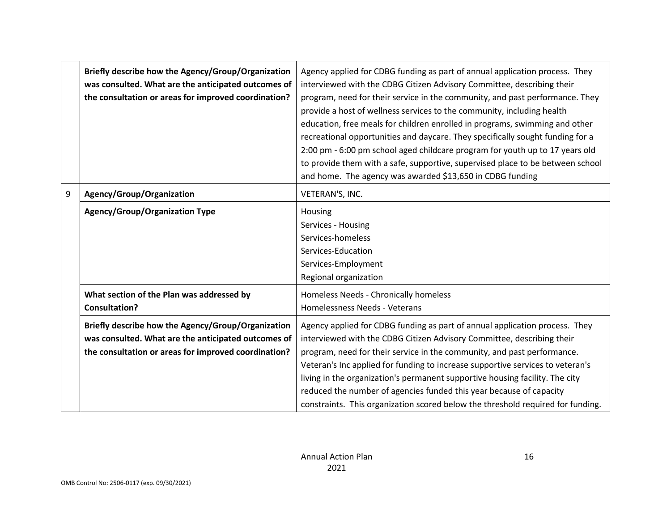| Briefly describe how the Agency/Group/Organization<br>was consulted. What are the anticipated outcomes of<br>the consultation or areas for improved coordination? | Agency applied for CDBG funding as part of annual application process. They<br>interviewed with the CDBG Citizen Advisory Committee, describing their<br>program, need for their service in the community, and past performance. They<br>provide a host of wellness services to the community, including health<br>education, free meals for children enrolled in programs, swimming and other<br>recreational opportunities and daycare. They specifically sought funding for a<br>2:00 pm - 6:00 pm school aged childcare program for youth up to 17 years old<br>to provide them with a safe, supportive, supervised place to be between school<br>and home. The agency was awarded \$13,650 in CDBG funding |  |  |
|-------------------------------------------------------------------------------------------------------------------------------------------------------------------|-----------------------------------------------------------------------------------------------------------------------------------------------------------------------------------------------------------------------------------------------------------------------------------------------------------------------------------------------------------------------------------------------------------------------------------------------------------------------------------------------------------------------------------------------------------------------------------------------------------------------------------------------------------------------------------------------------------------|--|--|
| Agency/Group/Organization                                                                                                                                         | VETERAN'S, INC.                                                                                                                                                                                                                                                                                                                                                                                                                                                                                                                                                                                                                                                                                                 |  |  |
| <b>Agency/Group/Organization Type</b>                                                                                                                             | Housing<br>Services - Housing<br>Services-homeless<br>Services-Education<br>Services-Employment<br>Regional organization                                                                                                                                                                                                                                                                                                                                                                                                                                                                                                                                                                                        |  |  |
| What section of the Plan was addressed by                                                                                                                         | Homeless Needs - Chronically homeless                                                                                                                                                                                                                                                                                                                                                                                                                                                                                                                                                                                                                                                                           |  |  |
|                                                                                                                                                                   | Homelessness Needs - Veterans                                                                                                                                                                                                                                                                                                                                                                                                                                                                                                                                                                                                                                                                                   |  |  |
| Briefly describe how the Agency/Group/Organization                                                                                                                | Agency applied for CDBG funding as part of annual application process. They                                                                                                                                                                                                                                                                                                                                                                                                                                                                                                                                                                                                                                     |  |  |
|                                                                                                                                                                   | interviewed with the CDBG Citizen Advisory Committee, describing their                                                                                                                                                                                                                                                                                                                                                                                                                                                                                                                                                                                                                                          |  |  |
|                                                                                                                                                                   | program, need for their service in the community, and past performance.<br>Veteran's Inc applied for funding to increase supportive services to veteran's                                                                                                                                                                                                                                                                                                                                                                                                                                                                                                                                                       |  |  |
|                                                                                                                                                                   | living in the organization's permanent supportive housing facility. The city<br>reduced the number of agencies funded this year because of capacity<br>constraints. This organization scored below the threshold required for funding.                                                                                                                                                                                                                                                                                                                                                                                                                                                                          |  |  |
|                                                                                                                                                                   | <b>Consultation?</b><br>was consulted. What are the anticipated outcomes of<br>the consultation or areas for improved coordination?                                                                                                                                                                                                                                                                                                                                                                                                                                                                                                                                                                             |  |  |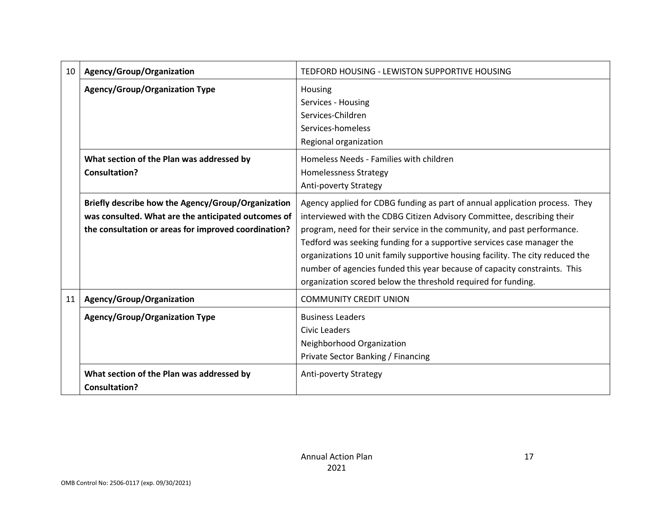| 10                                    | Agency/Group/Organization                                                                                                                                         | TEDFORD HOUSING - LEWISTON SUPPORTIVE HOUSING                                                                                                                                                                                                                                                                                                                                                                                                                                                                                              |  |
|---------------------------------------|-------------------------------------------------------------------------------------------------------------------------------------------------------------------|--------------------------------------------------------------------------------------------------------------------------------------------------------------------------------------------------------------------------------------------------------------------------------------------------------------------------------------------------------------------------------------------------------------------------------------------------------------------------------------------------------------------------------------------|--|
| <b>Agency/Group/Organization Type</b> |                                                                                                                                                                   | Housing<br>Services - Housing<br>Services-Children<br>Services-homeless<br>Regional organization                                                                                                                                                                                                                                                                                                                                                                                                                                           |  |
|                                       | What section of the Plan was addressed by<br><b>Consultation?</b>                                                                                                 | Homeless Needs - Families with children<br><b>Homelessness Strategy</b><br><b>Anti-poverty Strategy</b>                                                                                                                                                                                                                                                                                                                                                                                                                                    |  |
|                                       | Briefly describe how the Agency/Group/Organization<br>was consulted. What are the anticipated outcomes of<br>the consultation or areas for improved coordination? | Agency applied for CDBG funding as part of annual application process. They<br>interviewed with the CDBG Citizen Advisory Committee, describing their<br>program, need for their service in the community, and past performance.<br>Tedford was seeking funding for a supportive services case manager the<br>organizations 10 unit family supportive housing facility. The city reduced the<br>number of agencies funded this year because of capacity constraints. This<br>organization scored below the threshold required for funding. |  |
| 11                                    | Agency/Group/Organization                                                                                                                                         | <b>COMMUNITY CREDIT UNION</b>                                                                                                                                                                                                                                                                                                                                                                                                                                                                                                              |  |
|                                       | <b>Agency/Group/Organization Type</b>                                                                                                                             | <b>Business Leaders</b><br>Civic Leaders<br>Neighborhood Organization<br>Private Sector Banking / Financing                                                                                                                                                                                                                                                                                                                                                                                                                                |  |
|                                       | What section of the Plan was addressed by<br><b>Consultation?</b>                                                                                                 | <b>Anti-poverty Strategy</b>                                                                                                                                                                                                                                                                                                                                                                                                                                                                                                               |  |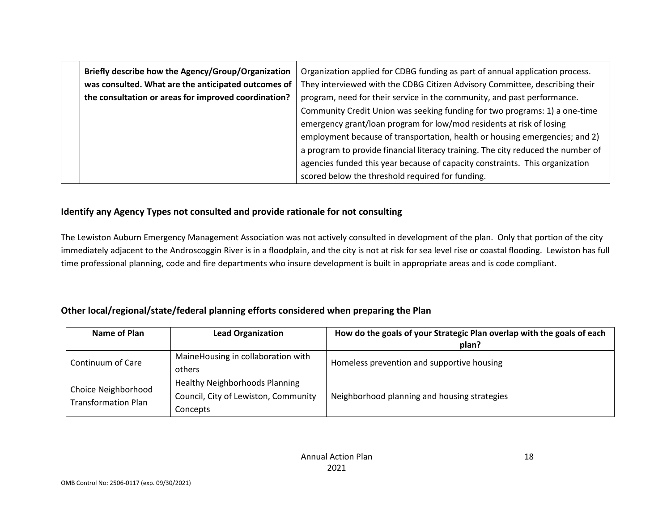| Briefly describe how the Agency/Group/Organization   | Organization applied for CDBG funding as part of annual application process.     |  |  |
|------------------------------------------------------|----------------------------------------------------------------------------------|--|--|
| was consulted. What are the anticipated outcomes of  | They interviewed with the CDBG Citizen Advisory Committee, describing their      |  |  |
| the consultation or areas for improved coordination? | program, need for their service in the community, and past performance.          |  |  |
|                                                      | Community Credit Union was seeking funding for two programs: 1) a one-time       |  |  |
|                                                      | emergency grant/loan program for low/mod residents at risk of losing             |  |  |
|                                                      | employment because of transportation, health or housing emergencies; and 2)      |  |  |
|                                                      | a program to provide financial literacy training. The city reduced the number of |  |  |
|                                                      | agencies funded this year because of capacity constraints. This organization     |  |  |
|                                                      | scored below the threshold required for funding.                                 |  |  |
|                                                      |                                                                                  |  |  |

### **Identify any Agency Types not consulted and provide rationale for not consulting**

The Lewiston Auburn Emergency Management Association was not actively consulted in development of the plan. Only that portion of the city immediately adjacent to the Androscoggin River is in a floodplain, and the city is not at risk for sea level rise or coastal flooding. Lewiston has full time professional planning, code and fire departments who insure development is built in appropriate areas and is code compliant.

### **Other local/regional/state/federal planning efforts considered when preparing the Plan**

| <b>Name of Plan</b>                                               | <b>Lead Organization</b>                                                                  | How do the goals of your Strategic Plan overlap with the goals of each<br>plan? |  |
|-------------------------------------------------------------------|-------------------------------------------------------------------------------------------|---------------------------------------------------------------------------------|--|
| MaineHousing in collaboration with<br>Continuum of Care<br>others |                                                                                           | Homeless prevention and supportive housing                                      |  |
| Choice Neighborhood<br><b>Transformation Plan</b>                 | <b>Healthy Neighborhoods Planning</b><br>Council, City of Lewiston, Community<br>Concepts | Neighborhood planning and housing strategies                                    |  |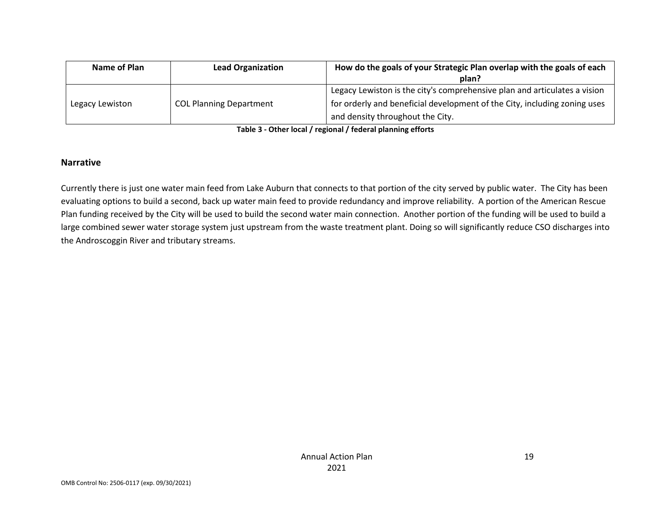| Name of Plan<br><b>Lead Organization</b> |                                | How do the goals of your Strategic Plan overlap with the goals of each    |  |  |
|------------------------------------------|--------------------------------|---------------------------------------------------------------------------|--|--|
|                                          |                                | plan?                                                                     |  |  |
|                                          |                                | Legacy Lewiston is the city's comprehensive plan and articulates a vision |  |  |
| Legacy Lewiston                          | <b>COL Planning Department</b> | for orderly and beneficial development of the City, including zoning uses |  |  |
|                                          |                                | and density throughout the City.                                          |  |  |

**Table 3 - Other local / regional / federal planning efforts**

#### **Narrative**

Currently there is just one water main feed from Lake Auburn that connects to that portion of the city served by public water. The City has been evaluating options to build a second, back up water main feed to provide redundancy and improve reliability. A portion of the American Rescue Plan funding received by the City will be used to build the second water main connection. Another portion of the funding will be used to build a large combined sewer water storage system just upstream from the waste treatment plant. Doing so will significantly reduce CSO discharges into the Androscoggin River and tributary streams.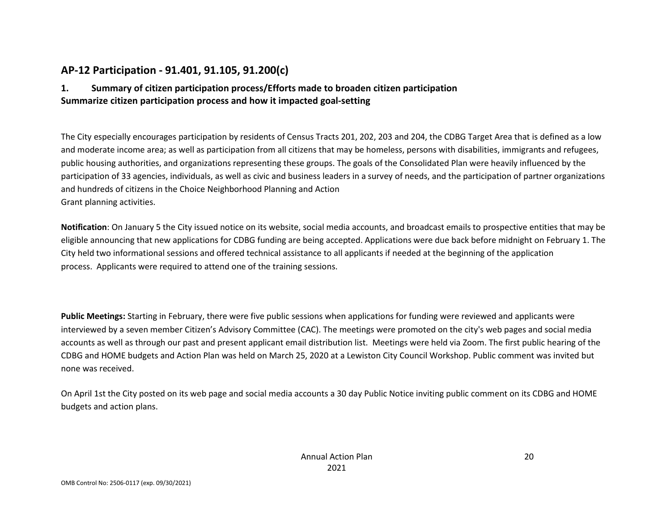## **AP-12 Participation - 91.401, 91.105, 91.200(c)**

### **1. Summary of citizen participation process/Efforts made to broaden citizen participation Summarize citizen participation process and how it impacted goal-setting**

The City especially encourages participation by residents of Census Tracts 201, 202, 203 and 204, the CDBG Target Area that is defined as a low and moderate income area; as well as participation from all citizens that may be homeless, persons with disabilities, immigrants and refugees, public housing authorities, and organizations representing these groups. The goals of the Consolidated Plan were heavily influenced by the participation of 33 agencies, individuals, as well as civic and business leaders in a survey of needs, and the participation of partner organizations and hundreds of citizens in the Choice Neighborhood Planning and Action Grant planning activities.

**Notification**: On January 5 the City issued notice on its website, social media accounts, and broadcast emails to prospective entities that may be eligible announcing that new applications for CDBG funding are being accepted. Applications were due back before midnight on February 1. The City held two informational sessions and offered technical assistance to all applicants if needed at the beginning of the application process. Applicants were required to attend one of the training sessions.

**Public Meetings:** Starting in February, there were five public sessions when applications for funding were reviewed and applicants were interviewed by a seven member Citizen's Advisory Committee (CAC). The meetings were promoted on the city's web pages and social media accounts as well as through our past and present applicant email distribution list. Meetings were held via Zoom. The first public hearing of the CDBG and HOME budgets and Action Plan was held on March 25, 2020 at a Lewiston City Council Workshop. Public comment was invited but none was received.

On April 1st the City posted on its web page and social media accounts a 30 day Public Notice inviting public comment on its CDBG and HOME budgets and action plans.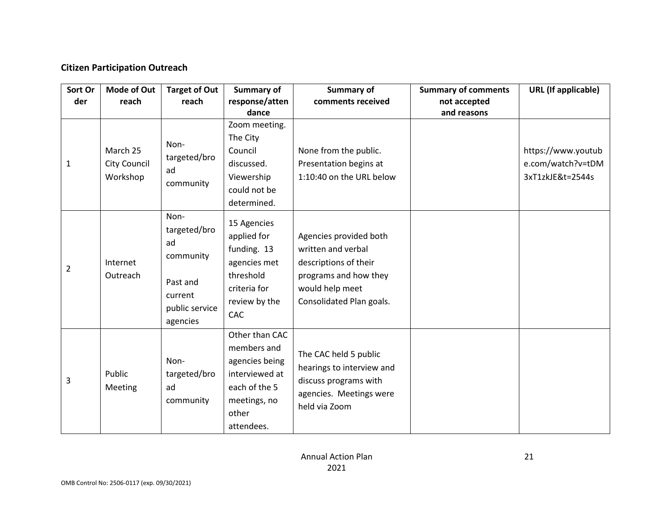### **Citizen Participation Outreach**

| Sort Or<br>der | <b>Mode of Out</b><br>reach          | <b>Target of Out</b><br>reach                                                                | Summary of<br>response/atten<br>dance                                                                                     | Summary of<br>comments received                                                                                                               | <b>Summary of comments</b><br>not accepted<br>and reasons | <b>URL</b> (If applicable)                                  |
|----------------|--------------------------------------|----------------------------------------------------------------------------------------------|---------------------------------------------------------------------------------------------------------------------------|-----------------------------------------------------------------------------------------------------------------------------------------------|-----------------------------------------------------------|-------------------------------------------------------------|
| 1              | March 25<br>City Council<br>Workshop | Non-<br>targeted/bro<br>ad<br>community                                                      | Zoom meeting.<br>The City<br>Council<br>discussed.<br>Viewership<br>could not be<br>determined.                           | None from the public.<br>Presentation begins at<br>1:10:40 on the URL below                                                                   |                                                           | https://www.youtub<br>e.com/watch?v=tDM<br>3xT1zkJE&t=2544s |
| $\overline{2}$ | Internet<br>Outreach                 | Non-<br>targeted/bro<br>ad<br>community<br>Past and<br>current<br>public service<br>agencies | 15 Agencies<br>applied for<br>funding. 13<br>agencies met<br>threshold<br>criteria for<br>review by the<br><b>CAC</b>     | Agencies provided both<br>written and verbal<br>descriptions of their<br>programs and how they<br>would help meet<br>Consolidated Plan goals. |                                                           |                                                             |
| 3              | Public<br>Meeting                    | Non-<br>targeted/bro<br>ad<br>community                                                      | Other than CAC<br>members and<br>agencies being<br>interviewed at<br>each of the 5<br>meetings, no<br>other<br>attendees. | The CAC held 5 public<br>hearings to interview and<br>discuss programs with<br>agencies. Meetings were<br>held via Zoom                       |                                                           |                                                             |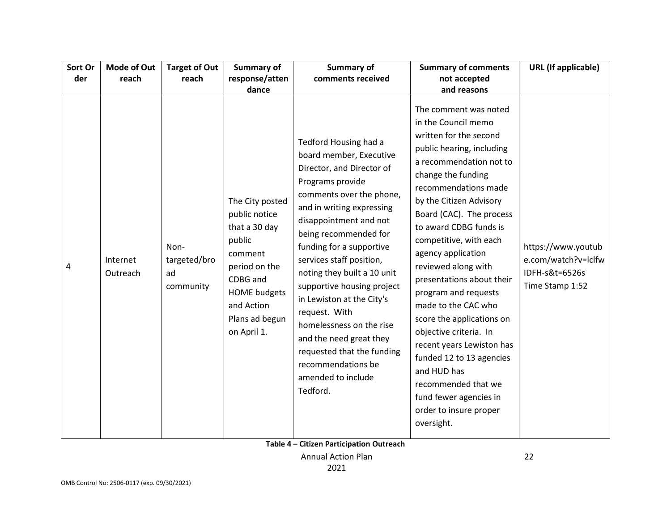| Sort Or | Mode of Out          | <b>Target of Out</b>                    | Summary of                                                                                                                                                                | Summary of                                                                                                                                                                                                                                                                                                                                                                                                                                                                                                                    | <b>Summary of comments</b>                                                                                                                                                                                                                                                                                                                                                                                                                                                                                                                                                                                                               | <b>URL</b> (If applicable)                                                     |
|---------|----------------------|-----------------------------------------|---------------------------------------------------------------------------------------------------------------------------------------------------------------------------|-------------------------------------------------------------------------------------------------------------------------------------------------------------------------------------------------------------------------------------------------------------------------------------------------------------------------------------------------------------------------------------------------------------------------------------------------------------------------------------------------------------------------------|------------------------------------------------------------------------------------------------------------------------------------------------------------------------------------------------------------------------------------------------------------------------------------------------------------------------------------------------------------------------------------------------------------------------------------------------------------------------------------------------------------------------------------------------------------------------------------------------------------------------------------------|--------------------------------------------------------------------------------|
| der     | reach                | reach                                   | response/atten                                                                                                                                                            | comments received                                                                                                                                                                                                                                                                                                                                                                                                                                                                                                             | not accepted                                                                                                                                                                                                                                                                                                                                                                                                                                                                                                                                                                                                                             |                                                                                |
|         |                      |                                         | dance                                                                                                                                                                     |                                                                                                                                                                                                                                                                                                                                                                                                                                                                                                                               | and reasons                                                                                                                                                                                                                                                                                                                                                                                                                                                                                                                                                                                                                              |                                                                                |
| 4       | Internet<br>Outreach | Non-<br>targeted/bro<br>ad<br>community | The City posted<br>public notice<br>that a 30 day<br>public<br>comment<br>period on the<br>CDBG and<br><b>HOME</b> budgets<br>and Action<br>Plans ad begun<br>on April 1. | Tedford Housing had a<br>board member, Executive<br>Director, and Director of<br>Programs provide<br>comments over the phone,<br>and in writing expressing<br>disappointment and not<br>being recommended for<br>funding for a supportive<br>services staff position,<br>noting they built a 10 unit<br>supportive housing project<br>in Lewiston at the City's<br>request. With<br>homelessness on the rise<br>and the need great they<br>requested that the funding<br>recommendations be<br>amended to include<br>Tedford. | The comment was noted<br>in the Council memo<br>written for the second<br>public hearing, including<br>a recommendation not to<br>change the funding<br>recommendations made<br>by the Citizen Advisory<br>Board (CAC). The process<br>to award CDBG funds is<br>competitive, with each<br>agency application<br>reviewed along with<br>presentations about their<br>program and requests<br>made to the CAC who<br>score the applications on<br>objective criteria. In<br>recent years Lewiston has<br>funded 12 to 13 agencies<br>and HUD has<br>recommended that we<br>fund fewer agencies in<br>order to insure proper<br>oversight. | https://www.youtub<br>e.com/watch?v=lclfw<br>IDFH-s&t=6526s<br>Time Stamp 1:52 |

**Table 4 – Citizen Participation Outreach**

Annual Action Plan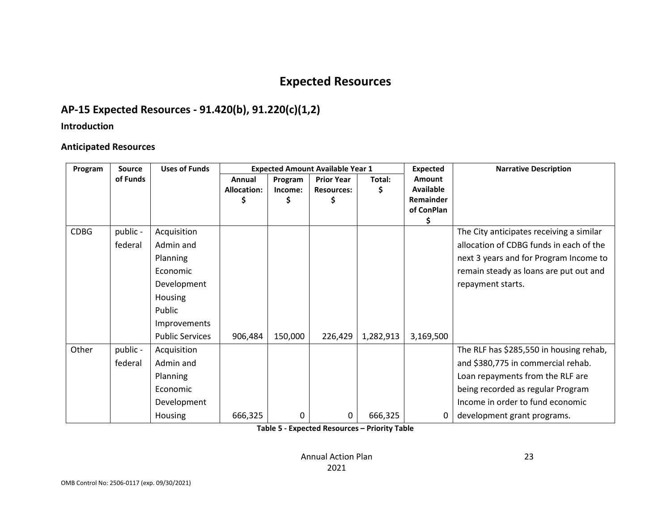## **Expected Resources**

## **AP-15 Expected Resources - 91.420(b), 91.220(c)(1,2)**

### **Introduction**

### **Anticipated Resources**

| Program     | <b>Source</b> | <b>Uses of Funds</b>   |             |         | <b>Expected Amount Available Year 1</b> |           | <b>Expected</b>         | <b>Narrative Description</b>             |
|-------------|---------------|------------------------|-------------|---------|-----------------------------------------|-----------|-------------------------|------------------------------------------|
|             | of Funds      |                        | Annual      | Program | <b>Prior Year</b>                       | Total:    | <b>Amount</b>           |                                          |
|             |               |                        | Allocation: | Income: | <b>Resources:</b>                       | Ş         | <b>Available</b>        |                                          |
|             |               |                        | \$          |         |                                         |           | Remainder<br>of ConPlan |                                          |
|             |               |                        |             |         |                                         |           | Ś                       |                                          |
| <b>CDBG</b> | public -      | Acquisition            |             |         |                                         |           |                         | The City anticipates receiving a similar |
|             | federal       | Admin and              |             |         |                                         |           |                         | allocation of CDBG funds in each of the  |
|             |               | Planning               |             |         |                                         |           |                         | next 3 years and for Program Income to   |
|             |               | Economic               |             |         |                                         |           |                         | remain steady as loans are put out and   |
|             |               | Development            |             |         |                                         |           |                         | repayment starts.                        |
|             |               | Housing                |             |         |                                         |           |                         |                                          |
|             |               | Public                 |             |         |                                         |           |                         |                                          |
|             |               | Improvements           |             |         |                                         |           |                         |                                          |
|             |               | <b>Public Services</b> | 906,484     | 150,000 | 226,429                                 | 1,282,913 | 3,169,500               |                                          |
| Other       | public -      | Acquisition            |             |         |                                         |           |                         | The RLF has \$285,550 in housing rehab,  |
|             | federal       | Admin and              |             |         |                                         |           |                         | and \$380,775 in commercial rehab.       |
|             |               | Planning               |             |         |                                         |           |                         | Loan repayments from the RLF are         |
|             |               | Economic               |             |         |                                         |           |                         | being recorded as regular Program        |
|             |               | Development            |             |         |                                         |           |                         | Income in order to fund economic         |
|             |               | Housing                | 666,325     | 0       | 0                                       | 666,325   | 0                       | development grant programs.              |

**Table 5 - Expected Resources – Priority Table**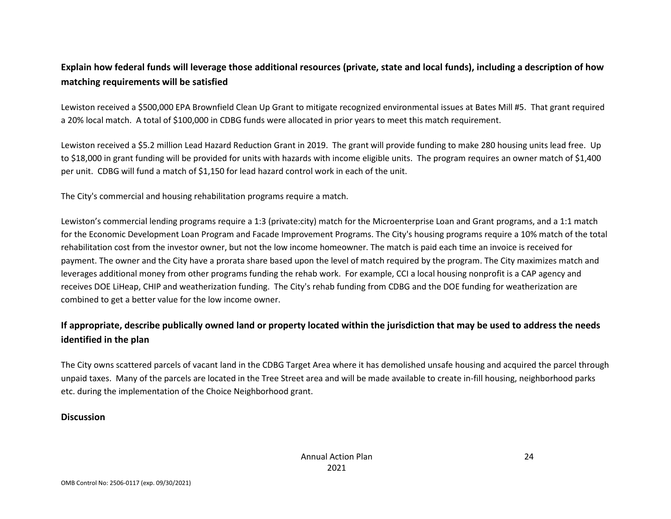## **Explain how federal funds will leverage those additional resources (private, state and local funds), including a description of how matching requirements will be satisfied**

Lewiston received a \$500,000 EPA Brownfield Clean Up Grant to mitigate recognized environmental issues at Bates Mill #5. That grant required a 20% local match. A total of \$100,000 in CDBG funds were allocated in prior years to meet this match requirement.

Lewiston received a \$5.2 million Lead Hazard Reduction Grant in 2019. The grant will provide funding to make 280 housing units lead free. Up to \$18,000 in grant funding will be provided for units with hazards with income eligible units. The program requires an owner match of \$1,400 per unit. CDBG will fund a match of \$1,150 for lead hazard control work in each of the unit.

The City's commercial and housing rehabilitation programs require a match.

Lewiston's commercial lending programs require a 1:3 (private:city) match for the Microenterprise Loan and Grant programs, and a 1:1 match for the Economic Development Loan Program and Facade Improvement Programs. The City's housing programs require a 10% match of the total rehabilitation cost from the investor owner, but not the low income homeowner. The match is paid each time an invoice is received for payment. The owner and the City have a prorata share based upon the level of match required by the program. The City maximizes match and leverages additional money from other programs funding the rehab work. For example, CCI a local housing nonprofit is a CAP agency and receives DOE LiHeap, CHIP and weatherization funding. The City's rehab funding from CDBG and the DOE funding for weatherization are combined to get a better value for the low income owner.

## **If appropriate, describe publically owned land or property located within the jurisdiction that may be used to address the needs identified in the plan**

The City owns scattered parcels of vacant land in the CDBG Target Area where it has demolished unsafe housing and acquired the parcel through unpaid taxes. Many of the parcels are located in the Tree Street area and will be made available to create in-fill housing, neighborhood parks etc. during the implementation of the Choice Neighborhood grant.

### **Discussion**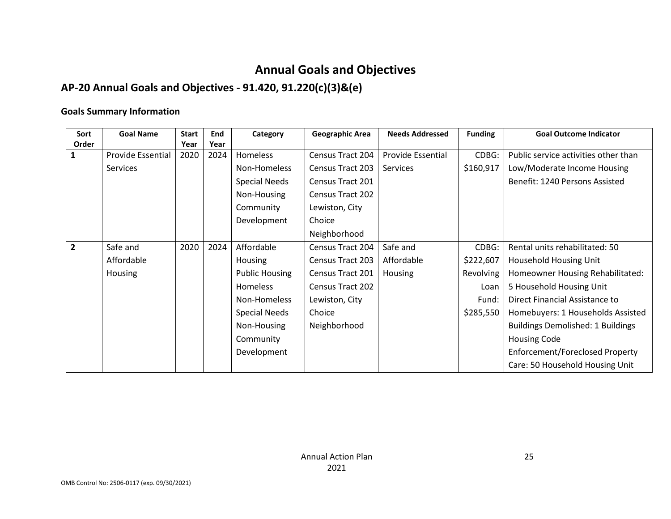## **Annual Goals and Objectives**

## **AP-20 Annual Goals and Objectives - 91.420, 91.220(c)(3)&(e)**

### **Goals Summary Information**

| Sort           | <b>Goal Name</b>         | <b>Start</b> | End  | Category              | <b>Geographic Area</b>  | <b>Needs Addressed</b>   | <b>Funding</b>   | <b>Goal Outcome Indicator</b>            |
|----------------|--------------------------|--------------|------|-----------------------|-------------------------|--------------------------|------------------|------------------------------------------|
| Order          |                          | Year         | Year |                       |                         |                          |                  |                                          |
| 1              | <b>Provide Essential</b> | 2020         | 2024 | <b>Homeless</b>       | Census Tract 204        | <b>Provide Essential</b> | CDBG:            | Public service activities other than     |
|                | Services                 |              |      | Non-Homeless          | Census Tract 203        | Services                 | \$160,917        | Low/Moderate Income Housing              |
|                |                          |              |      | <b>Special Needs</b>  | Census Tract 201        |                          |                  | Benefit: 1240 Persons Assisted           |
|                |                          |              |      | Non-Housing           | <b>Census Tract 202</b> |                          |                  |                                          |
|                |                          |              |      | Community             | Lewiston, City          |                          |                  |                                          |
|                |                          |              |      | Development           | Choice                  |                          |                  |                                          |
|                |                          |              |      |                       | Neighborhood            |                          |                  |                                          |
| $\overline{2}$ | Safe and                 | 2020         | 2024 | Affordable            | Census Tract 204        | Safe and                 | CDBG:            | Rental units rehabilitated: 50           |
|                | Affordable               |              |      | <b>Housing</b>        | Census Tract 203        | Affordable               | \$222,607        | Household Housing Unit                   |
|                | <b>Housing</b>           |              |      | <b>Public Housing</b> | Census Tract 201        | Housing                  | <b>Revolving</b> | Homeowner Housing Rehabilitated:         |
|                |                          |              |      | <b>Homeless</b>       | Census Tract 202        |                          | Loan             | 5 Household Housing Unit                 |
|                |                          |              |      | Non-Homeless          | Lewiston, City          |                          | Fund:            | Direct Financial Assistance to           |
|                |                          |              |      | <b>Special Needs</b>  | Choice                  |                          | \$285,550        | Homebuyers: 1 Households Assisted        |
|                |                          |              |      | Non-Housing           | Neighborhood            |                          |                  | <b>Buildings Demolished: 1 Buildings</b> |
|                |                          |              |      | Community             |                         |                          |                  | <b>Housing Code</b>                      |
|                |                          |              |      | Development           |                         |                          |                  | Enforcement/Foreclosed Property          |
|                |                          |              |      |                       |                         |                          |                  | Care: 50 Household Housing Unit          |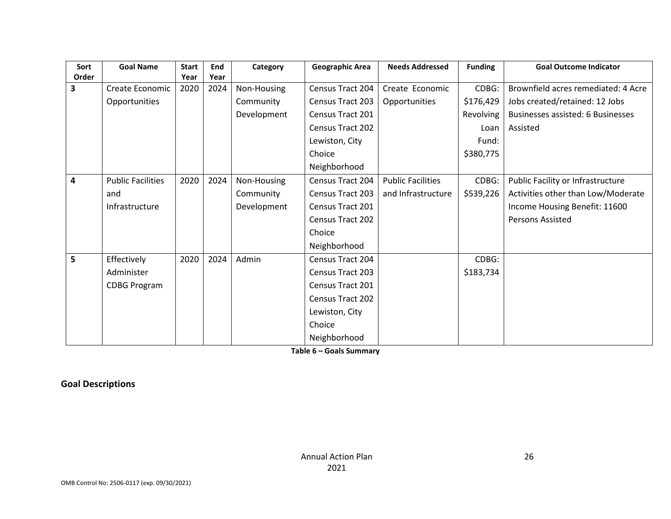| Sort  | <b>Goal Name</b>         | <b>Start</b> | End  | Category    | <b>Geographic Area</b>  | <b>Needs Addressed</b>   | <b>Funding</b> | <b>Goal Outcome Indicator</b>            |
|-------|--------------------------|--------------|------|-------------|-------------------------|--------------------------|----------------|------------------------------------------|
| Order |                          | Year         | Year |             |                         |                          |                |                                          |
| 3     | Create Economic          | 2020         | 2024 | Non-Housing | Census Tract 204        | Create Economic          | CDBG:          | Brownfield acres remediated: 4 Acre      |
|       | Opportunities            |              |      | Community   | Census Tract 203        | Opportunities            | \$176,429      | Jobs created/retained: 12 Jobs           |
|       |                          |              |      | Development | Census Tract 201        |                          | Revolving      | <b>Businesses assisted: 6 Businesses</b> |
|       |                          |              |      |             | <b>Census Tract 202</b> |                          | Loan           | Assisted                                 |
|       |                          |              |      |             | Lewiston, City          |                          | Fund:          |                                          |
|       |                          |              |      |             | Choice                  |                          | \$380,775      |                                          |
|       |                          |              |      |             | Neighborhood            |                          |                |                                          |
| 4     | <b>Public Facilities</b> | 2020         | 2024 | Non-Housing | Census Tract 204        | <b>Public Facilities</b> | CDBG:          | Public Facility or Infrastructure        |
|       | and                      |              |      | Community   | <b>Census Tract 203</b> | and Infrastructure       | \$539,226      | Activities other than Low/Moderate       |
|       | Infrastructure           |              |      | Development | Census Tract 201        |                          |                | Income Housing Benefit: 11600            |
|       |                          |              |      |             | Census Tract 202        |                          |                | Persons Assisted                         |
|       |                          |              |      |             | Choice                  |                          |                |                                          |
|       |                          |              |      |             | Neighborhood            |                          |                |                                          |
| 5     | Effectively              | 2020         | 2024 | Admin       | Census Tract 204        |                          | CDBG:          |                                          |
|       | Administer               |              |      |             | <b>Census Tract 203</b> |                          | \$183,734      |                                          |
|       | <b>CDBG Program</b>      |              |      |             | Census Tract 201        |                          |                |                                          |
|       |                          |              |      |             | <b>Census Tract 202</b> |                          |                |                                          |
|       |                          |              |      |             | Lewiston, City          |                          |                |                                          |
|       |                          |              |      |             | Choice                  |                          |                |                                          |
|       |                          |              |      |             | Neighborhood            |                          |                |                                          |

**Table 6 – Goals Summary**

### **Goal Descriptions**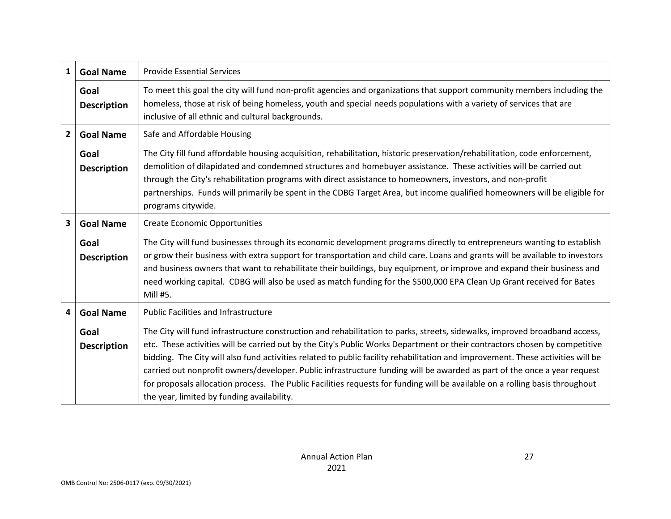| 1                                                                    | <b>Goal Name</b>           | <b>Provide Essential Services</b>                                                                                                                                                                                                                                                                                                                                                                                                                                                                                                                                                                                                                                                                     |
|----------------------------------------------------------------------|----------------------------|-------------------------------------------------------------------------------------------------------------------------------------------------------------------------------------------------------------------------------------------------------------------------------------------------------------------------------------------------------------------------------------------------------------------------------------------------------------------------------------------------------------------------------------------------------------------------------------------------------------------------------------------------------------------------------------------------------|
|                                                                      | Goal<br><b>Description</b> | To meet this goal the city will fund non-profit agencies and organizations that support community members including the<br>homeless, those at risk of being homeless, youth and special needs populations with a variety of services that are<br>inclusive of all ethnic and cultural backgrounds.                                                                                                                                                                                                                                                                                                                                                                                                    |
| $\overline{2}$                                                       | <b>Goal Name</b>           | Safe and Affordable Housing                                                                                                                                                                                                                                                                                                                                                                                                                                                                                                                                                                                                                                                                           |
|                                                                      | Goal<br><b>Description</b> | The City fill fund affordable housing acquisition, rehabilitation, historic preservation/rehabilitation, code enforcement,<br>demolition of dilapidated and condemned structures and homebuyer assistance. These activities will be carried out<br>through the City's rehabilitation programs with direct assistance to homeowners, investors, and non-profit<br>partnerships. Funds will primarily be spent in the CDBG Target Area, but income qualified homeowners will be eligible for<br>programs citywide.                                                                                                                                                                                      |
| 3                                                                    | <b>Goal Name</b>           | <b>Create Economic Opportunities</b>                                                                                                                                                                                                                                                                                                                                                                                                                                                                                                                                                                                                                                                                  |
|                                                                      | Goal<br><b>Description</b> | The City will fund businesses through its economic development programs directly to entrepreneurs wanting to establish<br>or grow their business with extra support for transportation and child care. Loans and grants will be available to investors<br>and business owners that want to rehabilitate their buildings, buy equipment, or improve and expand their business and<br>need working capital. CDBG will also be used as match funding for the \$500,000 EPA Clean Up Grant received for Bates<br>Mill #5.                                                                                                                                                                                 |
| <b>Public Facilities and Infrastructure</b><br>4<br><b>Goal Name</b> |                            |                                                                                                                                                                                                                                                                                                                                                                                                                                                                                                                                                                                                                                                                                                       |
|                                                                      | Goal<br><b>Description</b> | The City will fund infrastructure construction and rehabilitation to parks, streets, sidewalks, improved broadband access,<br>etc. These activities will be carried out by the City's Public Works Department or their contractors chosen by competitive<br>bidding. The City will also fund activities related to public facility rehabilitation and improvement. These activities will be<br>carried out nonprofit owners/developer. Public infrastructure funding will be awarded as part of the once a year request<br>for proposals allocation process. The Public Facilities requests for funding will be available on a rolling basis throughout<br>the year, limited by funding availability. |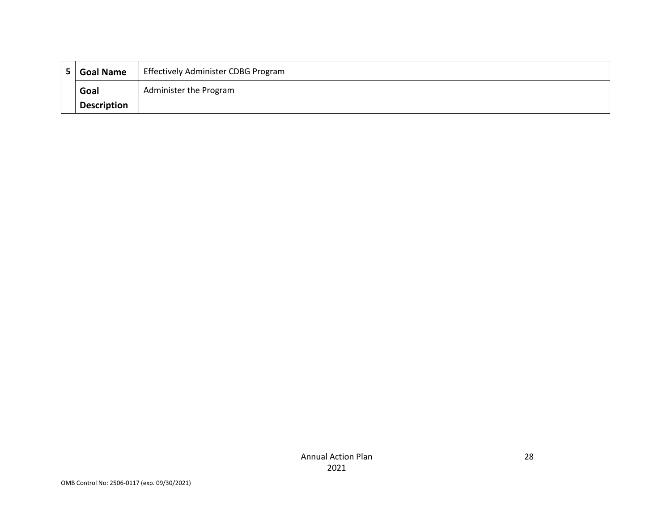| <b>Goal Name</b>   | <b>Effectively Administer CDBG Program</b> |
|--------------------|--------------------------------------------|
| Goal               | Administer the Program                     |
| <b>Description</b> |                                            |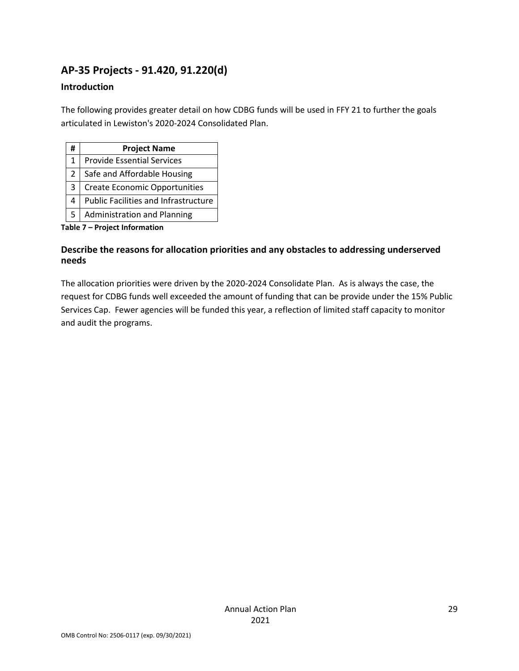## **AP-35 Projects - 91.420, 91.220(d)**

### **Introduction**

The following provides greater detail on how CDBG funds will be used in FFY 21 to further the goals articulated in Lewiston's 2020-2024 Consolidated Plan.

| #             | <b>Project Name</b>                  |
|---------------|--------------------------------------|
| 1             | <b>Provide Essential Services</b>    |
| $\mathcal{P}$ | Safe and Affordable Housing          |
| 3             | <b>Create Economic Opportunities</b> |
| 4             | Public Facilities and Infrastructure |
| 5             | <b>Administration and Planning</b>   |

**Table 7 – Project Information**

### **Describe the reasons for allocation priorities and any obstacles to addressing underserved needs**

The allocation priorities were driven by the 2020-2024 Consolidate Plan. As is always the case, the request for CDBG funds well exceeded the amount of funding that can be provide under the 15% Public Services Cap. Fewer agencies will be funded this year, a reflection of limited staff capacity to monitor and audit the programs.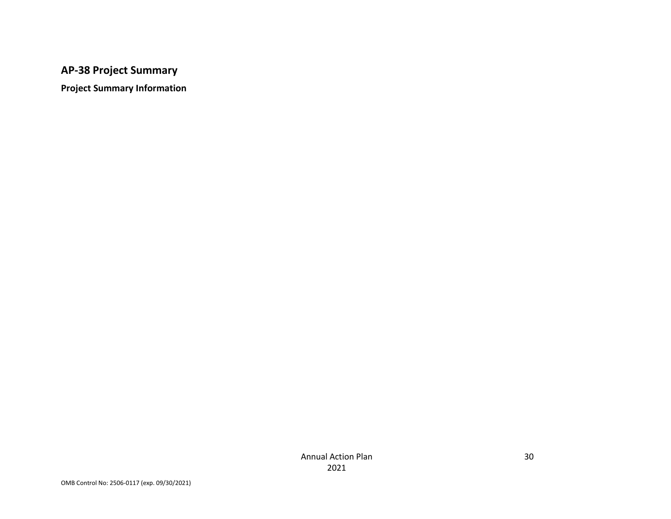## **AP-38 Project Summary**

**Project Summary Information**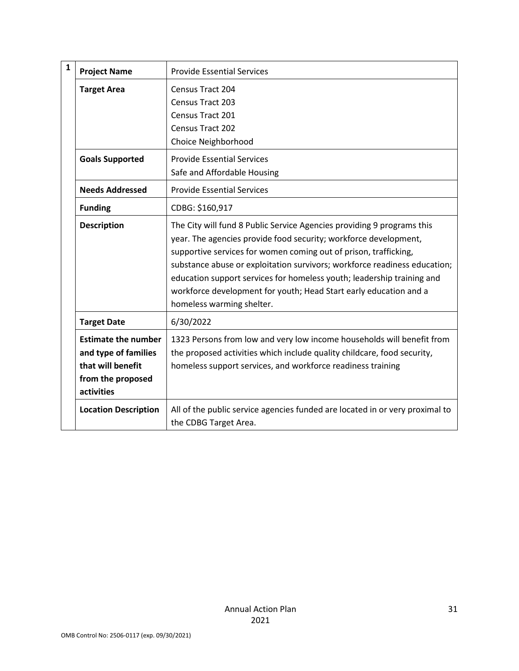| $\mathbf{1}$ | <b>Project Name</b>                                                                                        | <b>Provide Essential Services</b>                                                                                                                                                                                                                                                                                                                                                                                                                                       |
|--------------|------------------------------------------------------------------------------------------------------------|-------------------------------------------------------------------------------------------------------------------------------------------------------------------------------------------------------------------------------------------------------------------------------------------------------------------------------------------------------------------------------------------------------------------------------------------------------------------------|
|              | <b>Target Area</b>                                                                                         | Census Tract 204                                                                                                                                                                                                                                                                                                                                                                                                                                                        |
|              |                                                                                                            | Census Tract 203                                                                                                                                                                                                                                                                                                                                                                                                                                                        |
|              |                                                                                                            | Census Tract 201                                                                                                                                                                                                                                                                                                                                                                                                                                                        |
|              |                                                                                                            | Census Tract 202                                                                                                                                                                                                                                                                                                                                                                                                                                                        |
|              |                                                                                                            | Choice Neighborhood                                                                                                                                                                                                                                                                                                                                                                                                                                                     |
|              | <b>Goals Supported</b>                                                                                     | <b>Provide Essential Services</b>                                                                                                                                                                                                                                                                                                                                                                                                                                       |
|              |                                                                                                            | Safe and Affordable Housing                                                                                                                                                                                                                                                                                                                                                                                                                                             |
|              | <b>Needs Addressed</b>                                                                                     | <b>Provide Essential Services</b>                                                                                                                                                                                                                                                                                                                                                                                                                                       |
|              | <b>Funding</b>                                                                                             | CDBG: \$160,917                                                                                                                                                                                                                                                                                                                                                                                                                                                         |
|              | <b>Description</b>                                                                                         | The City will fund 8 Public Service Agencies providing 9 programs this<br>year. The agencies provide food security; workforce development,<br>supportive services for women coming out of prison, trafficking,<br>substance abuse or exploitation survivors; workforce readiness education;<br>education support services for homeless youth; leadership training and<br>workforce development for youth; Head Start early education and a<br>homeless warming shelter. |
|              | <b>Target Date</b>                                                                                         | 6/30/2022                                                                                                                                                                                                                                                                                                                                                                                                                                                               |
|              | <b>Estimate the number</b><br>and type of families<br>that will benefit<br>from the proposed<br>activities | 1323 Persons from low and very low income households will benefit from<br>the proposed activities which include quality childcare, food security,<br>homeless support services, and workforce readiness training                                                                                                                                                                                                                                                        |
|              | <b>Location Description</b>                                                                                | All of the public service agencies funded are located in or very proximal to<br>the CDBG Target Area.                                                                                                                                                                                                                                                                                                                                                                   |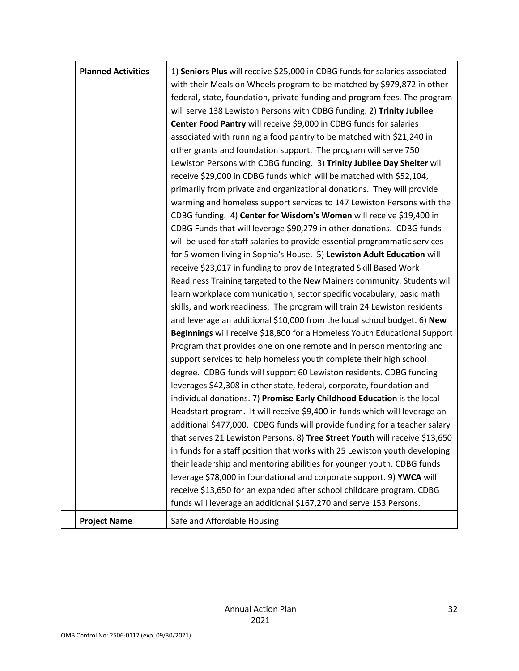| <b>Planned Activities</b> | 1) Seniors Plus will receive \$25,000 in CDBG funds for salaries associated<br>with their Meals on Wheels program to be matched by \$979,872 in other<br>federal, state, foundation, private funding and program fees. The program<br>will serve 138 Lewiston Persons with CDBG funding. 2) Trinity Jubilee<br>Center Food Pantry will receive \$9,000 in CDBG funds for salaries<br>associated with running a food pantry to be matched with \$21,240 in<br>other grants and foundation support. The program will serve 750<br>Lewiston Persons with CDBG funding. 3) Trinity Jubilee Day Shelter will<br>receive \$29,000 in CDBG funds which will be matched with \$52,104,<br>primarily from private and organizational donations. They will provide<br>warming and homeless support services to 147 Lewiston Persons with the<br>CDBG funding. 4) Center for Wisdom's Women will receive \$19,400 in<br>CDBG Funds that will leverage \$90,279 in other donations. CDBG funds<br>will be used for staff salaries to provide essential programmatic services<br>for 5 women living in Sophia's House. 5) Lewiston Adult Education will<br>receive \$23,017 in funding to provide Integrated Skill Based Work<br>Readiness Training targeted to the New Mainers community. Students will<br>learn workplace communication, sector specific vocabulary, basic math<br>skills, and work readiness. The program will train 24 Lewiston residents<br>and leverage an additional \$10,000 from the local school budget. 6) New<br>Beginnings will receive \$18,800 for a Homeless Youth Educational Support<br>Program that provides one on one remote and in person mentoring and<br>support services to help homeless youth complete their high school<br>degree. CDBG funds will support 60 Lewiston residents. CDBG funding<br>leverages \$42,308 in other state, federal, corporate, foundation and<br>individual donations. 7) Promise Early Childhood Education is the local<br>Headstart program. It will receive \$9,400 in funds which will leverage an<br>additional \$477,000. CDBG funds will provide funding for a teacher salary<br>that serves 21 Lewiston Persons. 8) Tree Street Youth will receive \$13,650<br>in funds for a staff position that works with 25 Lewiston youth developing<br>their leadership and mentoring abilities for younger youth. CDBG funds<br>leverage \$78,000 in foundational and corporate support. 9) YWCA will<br>receive \$13,650 for an expanded after school childcare program. CDBG<br>funds will leverage an additional \$167,270 and serve 153 Persons. |
|---------------------------|--------------------------------------------------------------------------------------------------------------------------------------------------------------------------------------------------------------------------------------------------------------------------------------------------------------------------------------------------------------------------------------------------------------------------------------------------------------------------------------------------------------------------------------------------------------------------------------------------------------------------------------------------------------------------------------------------------------------------------------------------------------------------------------------------------------------------------------------------------------------------------------------------------------------------------------------------------------------------------------------------------------------------------------------------------------------------------------------------------------------------------------------------------------------------------------------------------------------------------------------------------------------------------------------------------------------------------------------------------------------------------------------------------------------------------------------------------------------------------------------------------------------------------------------------------------------------------------------------------------------------------------------------------------------------------------------------------------------------------------------------------------------------------------------------------------------------------------------------------------------------------------------------------------------------------------------------------------------------------------------------------------------------------------------------------------------------------------------------------------------------------------------------------------------------------------------------------------------------------------------------------------------------------------------------------------------------------------------------------------------------------------------------------------------------------------------------------------------------------------------------------------------------------------------------------------------------------------------------------------|
| <b>Project Name</b>       | Safe and Affordable Housing                                                                                                                                                                                                                                                                                                                                                                                                                                                                                                                                                                                                                                                                                                                                                                                                                                                                                                                                                                                                                                                                                                                                                                                                                                                                                                                                                                                                                                                                                                                                                                                                                                                                                                                                                                                                                                                                                                                                                                                                                                                                                                                                                                                                                                                                                                                                                                                                                                                                                                                                                                                  |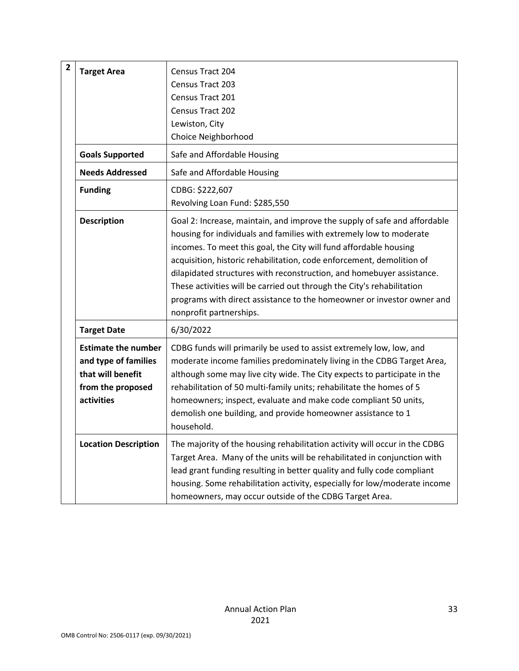| $\overline{2}$ | <b>Target Area</b>                                                                                         | Census Tract 204<br>Census Tract 203<br>Census Tract 201<br>Census Tract 202<br>Lewiston, City<br>Choice Neighborhood                                                                                                                                                                                                                                                                                                                                                                                                                                  |
|----------------|------------------------------------------------------------------------------------------------------------|--------------------------------------------------------------------------------------------------------------------------------------------------------------------------------------------------------------------------------------------------------------------------------------------------------------------------------------------------------------------------------------------------------------------------------------------------------------------------------------------------------------------------------------------------------|
|                | <b>Goals Supported</b>                                                                                     | Safe and Affordable Housing                                                                                                                                                                                                                                                                                                                                                                                                                                                                                                                            |
|                | <b>Needs Addressed</b>                                                                                     | Safe and Affordable Housing                                                                                                                                                                                                                                                                                                                                                                                                                                                                                                                            |
|                | <b>Funding</b>                                                                                             | CDBG: \$222,607<br>Revolving Loan Fund: \$285,550                                                                                                                                                                                                                                                                                                                                                                                                                                                                                                      |
|                | <b>Description</b>                                                                                         | Goal 2: Increase, maintain, and improve the supply of safe and affordable<br>housing for individuals and families with extremely low to moderate<br>incomes. To meet this goal, the City will fund affordable housing<br>acquisition, historic rehabilitation, code enforcement, demolition of<br>dilapidated structures with reconstruction, and homebuyer assistance.<br>These activities will be carried out through the City's rehabilitation<br>programs with direct assistance to the homeowner or investor owner and<br>nonprofit partnerships. |
|                | <b>Target Date</b>                                                                                         | 6/30/2022                                                                                                                                                                                                                                                                                                                                                                                                                                                                                                                                              |
|                | <b>Estimate the number</b><br>and type of families<br>that will benefit<br>from the proposed<br>activities | CDBG funds will primarily be used to assist extremely low, low, and<br>moderate income families predominately living in the CDBG Target Area,<br>although some may live city wide. The City expects to participate in the<br>rehabilitation of 50 multi-family units; rehabilitate the homes of 5<br>homeowners; inspect, evaluate and make code compliant 50 units,<br>demolish one building, and provide homeowner assistance to 1<br>household.                                                                                                     |
|                | <b>Location Description</b>                                                                                | The majority of the housing rehabilitation activity will occur in the CDBG<br>Target Area. Many of the units will be rehabilitated in conjunction with<br>lead grant funding resulting in better quality and fully code compliant<br>housing. Some rehabilitation activity, especially for low/moderate income<br>homeowners, may occur outside of the CDBG Target Area.                                                                                                                                                                               |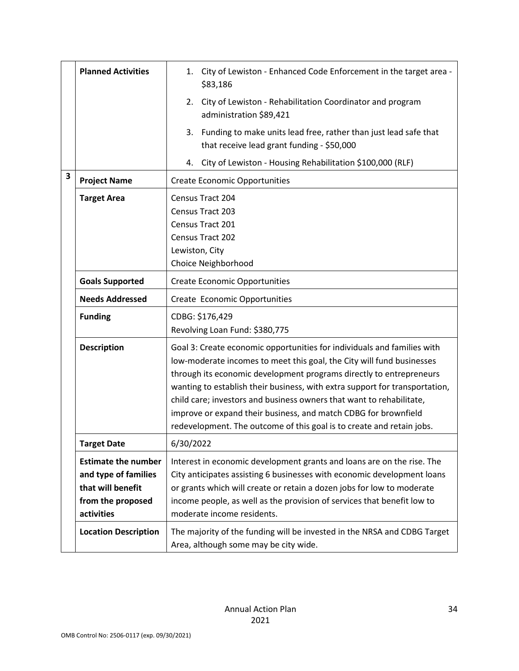|   | <b>Planned Activities</b>                                                                                  | City of Lewiston - Enhanced Code Enforcement in the target area -<br>1.<br>\$83,186                                                                                                                                                                                                                                                                                                                                                                                                                                        |
|---|------------------------------------------------------------------------------------------------------------|----------------------------------------------------------------------------------------------------------------------------------------------------------------------------------------------------------------------------------------------------------------------------------------------------------------------------------------------------------------------------------------------------------------------------------------------------------------------------------------------------------------------------|
|   |                                                                                                            | City of Lewiston - Rehabilitation Coordinator and program<br>2.<br>administration \$89,421                                                                                                                                                                                                                                                                                                                                                                                                                                 |
|   |                                                                                                            | Funding to make units lead free, rather than just lead safe that<br>3.<br>that receive lead grant funding - \$50,000                                                                                                                                                                                                                                                                                                                                                                                                       |
|   |                                                                                                            | City of Lewiston - Housing Rehabilitation \$100,000 (RLF)<br>4.                                                                                                                                                                                                                                                                                                                                                                                                                                                            |
| 3 | <b>Project Name</b>                                                                                        | <b>Create Economic Opportunities</b>                                                                                                                                                                                                                                                                                                                                                                                                                                                                                       |
|   | <b>Target Area</b>                                                                                         | Census Tract 204<br>Census Tract 203<br>Census Tract 201<br>Census Tract 202<br>Lewiston, City<br>Choice Neighborhood                                                                                                                                                                                                                                                                                                                                                                                                      |
|   | <b>Goals Supported</b>                                                                                     | <b>Create Economic Opportunities</b>                                                                                                                                                                                                                                                                                                                                                                                                                                                                                       |
|   | <b>Needs Addressed</b>                                                                                     | Create Economic Opportunities                                                                                                                                                                                                                                                                                                                                                                                                                                                                                              |
|   | <b>Funding</b>                                                                                             | CDBG: \$176,429<br>Revolving Loan Fund: \$380,775                                                                                                                                                                                                                                                                                                                                                                                                                                                                          |
|   | <b>Description</b>                                                                                         | Goal 3: Create economic opportunities for individuals and families with<br>low-moderate incomes to meet this goal, the City will fund businesses<br>through its economic development programs directly to entrepreneurs<br>wanting to establish their business, with extra support for transportation,<br>child care; investors and business owners that want to rehabilitate,<br>improve or expand their business, and match CDBG for brownfield<br>redevelopment. The outcome of this goal is to create and retain jobs. |
|   | Target Date                                                                                                | 6/30/2022                                                                                                                                                                                                                                                                                                                                                                                                                                                                                                                  |
|   | <b>Estimate the number</b><br>and type of families<br>that will benefit<br>from the proposed<br>activities | Interest in economic development grants and loans are on the rise. The<br>City anticipates assisting 6 businesses with economic development loans<br>or grants which will create or retain a dozen jobs for low to moderate<br>income people, as well as the provision of services that benefit low to<br>moderate income residents.                                                                                                                                                                                       |
|   | <b>Location Description</b>                                                                                | The majority of the funding will be invested in the NRSA and CDBG Target<br>Area, although some may be city wide.                                                                                                                                                                                                                                                                                                                                                                                                          |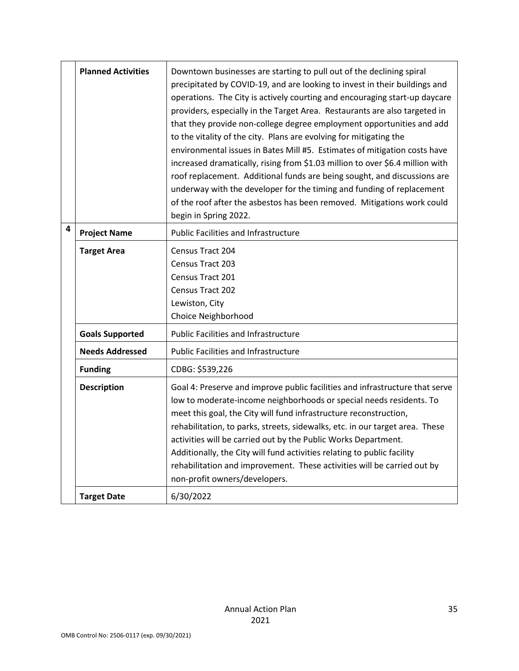|   | <b>Planned Activities</b> | Downtown businesses are starting to pull out of the declining spiral<br>precipitated by COVID-19, and are looking to invest in their buildings and<br>operations. The City is actively courting and encouraging start-up daycare<br>providers, especially in the Target Area. Restaurants are also targeted in<br>that they provide non-college degree employment opportunities and add<br>to the vitality of the city. Plans are evolving for mitigating the<br>environmental issues in Bates Mill #5. Estimates of mitigation costs have<br>increased dramatically, rising from \$1.03 million to over \$6.4 million with<br>roof replacement. Additional funds are being sought, and discussions are<br>underway with the developer for the timing and funding of replacement<br>of the roof after the asbestos has been removed. Mitigations work could<br>begin in Spring 2022. |
|---|---------------------------|--------------------------------------------------------------------------------------------------------------------------------------------------------------------------------------------------------------------------------------------------------------------------------------------------------------------------------------------------------------------------------------------------------------------------------------------------------------------------------------------------------------------------------------------------------------------------------------------------------------------------------------------------------------------------------------------------------------------------------------------------------------------------------------------------------------------------------------------------------------------------------------|
| 4 | <b>Project Name</b>       | <b>Public Facilities and Infrastructure</b>                                                                                                                                                                                                                                                                                                                                                                                                                                                                                                                                                                                                                                                                                                                                                                                                                                          |
|   | <b>Target Area</b>        | <b>Census Tract 204</b><br>Census Tract 203<br>Census Tract 201<br>Census Tract 202<br>Lewiston, City<br>Choice Neighborhood                                                                                                                                                                                                                                                                                                                                                                                                                                                                                                                                                                                                                                                                                                                                                         |
|   | <b>Goals Supported</b>    | <b>Public Facilities and Infrastructure</b>                                                                                                                                                                                                                                                                                                                                                                                                                                                                                                                                                                                                                                                                                                                                                                                                                                          |
|   | <b>Needs Addressed</b>    | <b>Public Facilities and Infrastructure</b>                                                                                                                                                                                                                                                                                                                                                                                                                                                                                                                                                                                                                                                                                                                                                                                                                                          |
|   | <b>Funding</b>            | CDBG: \$539,226                                                                                                                                                                                                                                                                                                                                                                                                                                                                                                                                                                                                                                                                                                                                                                                                                                                                      |
|   | <b>Description</b>        | Goal 4: Preserve and improve public facilities and infrastructure that serve<br>low to moderate-income neighborhoods or special needs residents. To<br>meet this goal, the City will fund infrastructure reconstruction,<br>rehabilitation, to parks, streets, sidewalks, etc. in our target area. These<br>activities will be carried out by the Public Works Department.<br>Additionally, the City will fund activities relating to public facility<br>rehabilitation and improvement. These activities will be carried out by<br>non-profit owners/developers.                                                                                                                                                                                                                                                                                                                    |
|   | <b>Target Date</b>        | 6/30/2022                                                                                                                                                                                                                                                                                                                                                                                                                                                                                                                                                                                                                                                                                                                                                                                                                                                                            |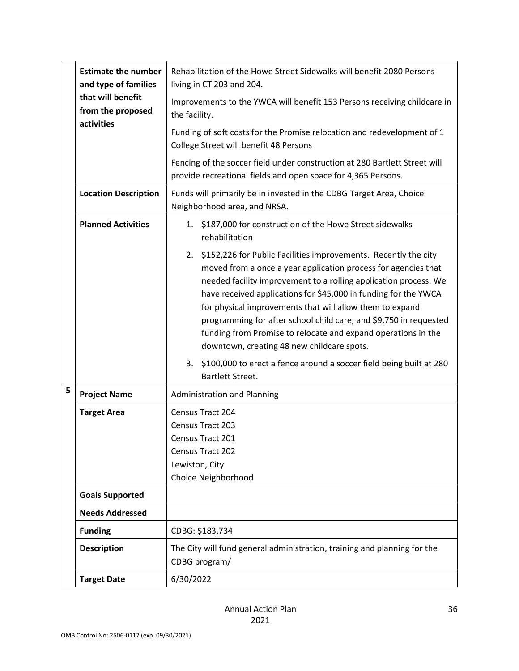|   | <b>Estimate the number</b><br>and type of families<br>that will benefit<br>from the proposed<br>activities | Rehabilitation of the Howe Street Sidewalks will benefit 2080 Persons<br>living in CT 203 and 204.                                                                                                                                                                                                                                                                                                                                                                                                                          |  |
|---|------------------------------------------------------------------------------------------------------------|-----------------------------------------------------------------------------------------------------------------------------------------------------------------------------------------------------------------------------------------------------------------------------------------------------------------------------------------------------------------------------------------------------------------------------------------------------------------------------------------------------------------------------|--|
|   |                                                                                                            | Improvements to the YWCA will benefit 153 Persons receiving childcare in<br>the facility.                                                                                                                                                                                                                                                                                                                                                                                                                                   |  |
|   |                                                                                                            | Funding of soft costs for the Promise relocation and redevelopment of 1<br>College Street will benefit 48 Persons                                                                                                                                                                                                                                                                                                                                                                                                           |  |
|   |                                                                                                            | Fencing of the soccer field under construction at 280 Bartlett Street will<br>provide recreational fields and open space for 4,365 Persons.                                                                                                                                                                                                                                                                                                                                                                                 |  |
|   | <b>Location Description</b>                                                                                | Funds will primarily be in invested in the CDBG Target Area, Choice<br>Neighborhood area, and NRSA.                                                                                                                                                                                                                                                                                                                                                                                                                         |  |
|   | <b>Planned Activities</b>                                                                                  | 1. \$187,000 for construction of the Howe Street sidewalks<br>rehabilitation                                                                                                                                                                                                                                                                                                                                                                                                                                                |  |
|   |                                                                                                            | 2. \$152,226 for Public Facilities improvements. Recently the city<br>moved from a once a year application process for agencies that<br>needed facility improvement to a rolling application process. We<br>have received applications for \$45,000 in funding for the YWCA<br>for physical improvements that will allow them to expand<br>programming for after school child care; and \$9,750 in requested<br>funding from Promise to relocate and expand operations in the<br>downtown, creating 48 new childcare spots. |  |
|   |                                                                                                            | \$100,000 to erect a fence around a soccer field being built at 280<br>3.<br>Bartlett Street.                                                                                                                                                                                                                                                                                                                                                                                                                               |  |
| 5 | <b>Project Name</b>                                                                                        | <b>Administration and Planning</b>                                                                                                                                                                                                                                                                                                                                                                                                                                                                                          |  |
|   | <b>Target Area</b>                                                                                         | Census Tract 204<br>Census Tract 203<br>Census Tract 201<br>Census Tract 202<br>Lewiston, City<br>Choice Neighborhood                                                                                                                                                                                                                                                                                                                                                                                                       |  |
|   | <b>Goals Supported</b>                                                                                     |                                                                                                                                                                                                                                                                                                                                                                                                                                                                                                                             |  |
|   | <b>Needs Addressed</b>                                                                                     |                                                                                                                                                                                                                                                                                                                                                                                                                                                                                                                             |  |
|   | <b>Funding</b>                                                                                             | CDBG: \$183,734                                                                                                                                                                                                                                                                                                                                                                                                                                                                                                             |  |
|   | <b>Description</b>                                                                                         | The City will fund general administration, training and planning for the<br>CDBG program/                                                                                                                                                                                                                                                                                                                                                                                                                                   |  |
|   | <b>Target Date</b>                                                                                         | 6/30/2022                                                                                                                                                                                                                                                                                                                                                                                                                                                                                                                   |  |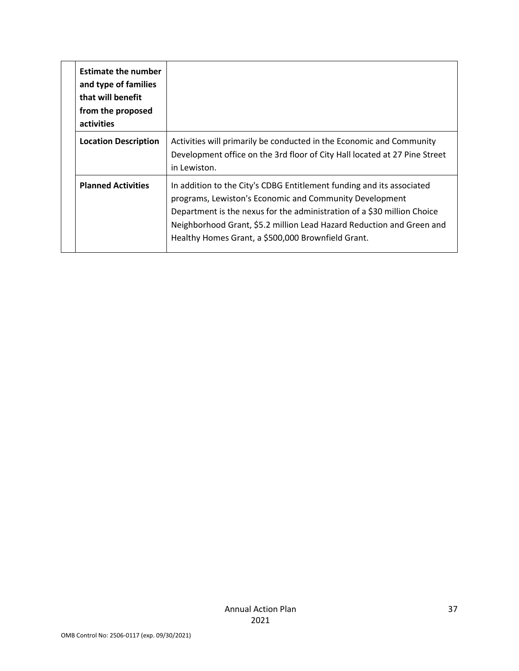|  | <b>Estimate the number</b><br>and type of families<br>that will benefit<br>from the proposed<br>activities |                                                                                                                                                                                                                                                                                                                                            |
|--|------------------------------------------------------------------------------------------------------------|--------------------------------------------------------------------------------------------------------------------------------------------------------------------------------------------------------------------------------------------------------------------------------------------------------------------------------------------|
|  | <b>Location Description</b>                                                                                | Activities will primarily be conducted in the Economic and Community<br>Development office on the 3rd floor of City Hall located at 27 Pine Street<br>in Lewiston.                                                                                                                                                                         |
|  | <b>Planned Activities</b>                                                                                  | In addition to the City's CDBG Entitlement funding and its associated<br>programs, Lewiston's Economic and Community Development<br>Department is the nexus for the administration of a \$30 million Choice<br>Neighborhood Grant, \$5.2 million Lead Hazard Reduction and Green and<br>Healthy Homes Grant, a \$500,000 Brownfield Grant. |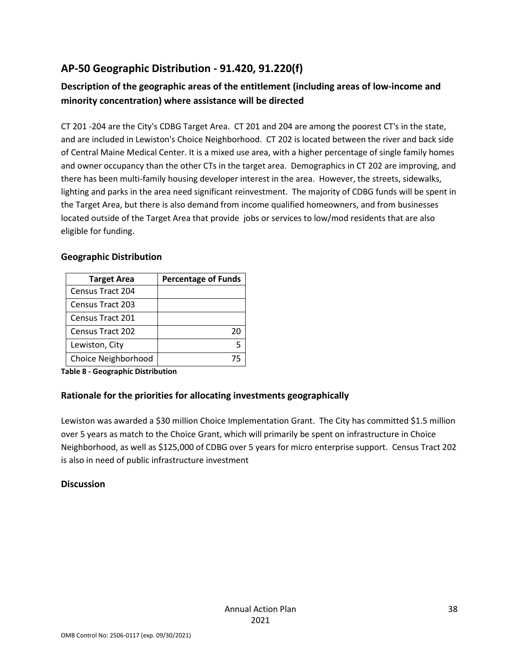## **AP-50 Geographic Distribution - 91.420, 91.220(f)**

## **Description of the geographic areas of the entitlement (including areas of low-income and minority concentration) where assistance will be directed**

CT 201 -204 are the City's CDBG Target Area. CT 201 and 204 are among the poorest CT's in the state, and are included in Lewiston's Choice Neighborhood. CT 202 is located between the river and back side of Central Maine Medical Center. It is a mixed use area, with a higher percentage of single family homes and owner occupancy than the other CTs in the target area. Demographics in CT 202 are improving, and there has been multi-family housing developer interest in the area. However, the streets, sidewalks, lighting and parks in the area need significant reinvestment. The majority of CDBG funds will be spent in the Target Area, but there is also demand from income qualified homeowners, and from businesses located outside of the Target Area that provide jobs or services to low/mod residents that are also eligible for funding.

### **Geographic Distribution**

| <b>Target Area</b>      | <b>Percentage of Funds</b> |
|-------------------------|----------------------------|
| Census Tract 204        |                            |
| Census Tract 203        |                            |
| <b>Census Tract 201</b> |                            |
| Census Tract 202        | 20                         |
| Lewiston, City          |                            |
| Choice Neighborhood     |                            |

**Table 8 - Geographic Distribution** 

### **Rationale for the priorities for allocating investments geographically**

Lewiston was awarded a \$30 million Choice Implementation Grant. The City has committed \$1.5 million over 5 years as match to the Choice Grant, which will primarily be spent on infrastructure in Choice Neighborhood, as well as \$125,000 of CDBG over 5 years for micro enterprise support. Census Tract 202 is also in need of public infrastructure investment

### **Discussion**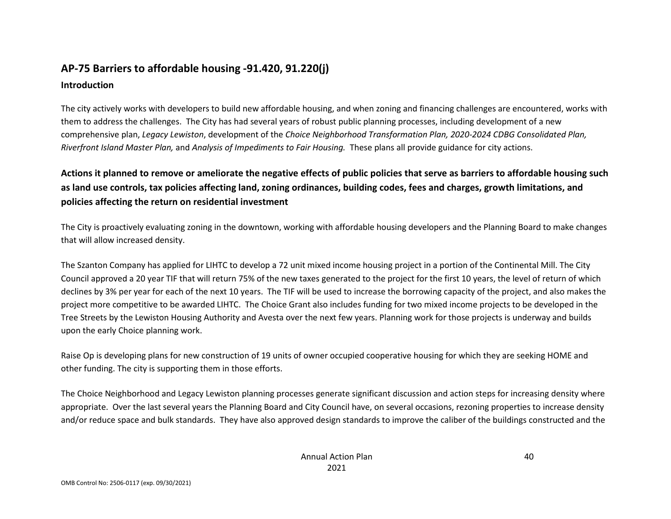# **AP-75 Barriers to affordable housing -91.420, 91.220(j)**

### **Introduction**

The city actively works with developers to build new affordable housing, and when zoning and financing challenges are encountered, works with them to address the challenges. The City has had several years of robust public planning processes, including development of a new comprehensive plan, *Legacy Lewiston*, development of the *Choice Neighborhood Transformation Plan, 2020-2024 CDBG Consolidated Plan, Riverfront Island Master Plan,* and *Analysis of Impediments to Fair Housing.* These plans all provide guidance for city actions.

**Actions it planned to remove or ameliorate the negative effects of public policies that serve as barriers to affordable housing such as land use controls, tax policies affecting land, zoning ordinances, building codes, fees and charges, growth limitations, and policies affecting the return on residential investment**

The City is proactively evaluating zoning in the downtown, working with affordable housing developers and the Planning Board to make changes that will allow increased density.

The Szanton Company has applied for LIHTC to develop a 72 unit mixed income housing project in a portion of the Continental Mill. The City Council approved a 20 year TIF that will return 75% of the new taxes generated to the project for the first 10 years, the level of return of which declines by 3% per year for each of the next 10 years. The TIF will be used to increase the borrowing capacity of the project, and also makes the project more competitive to be awarded LIHTC. The Choice Grant also includes funding for two mixed income projects to be developed in the Tree Streets by the Lewiston Housing Authority and Avesta over the next few years. Planning work for those projects is underway and builds upon the early Choice planning work.

Raise Op is developing plans for new construction of 19 units of owner occupied cooperative housing for which they are seeking HOME and other funding. The city is supporting them in those efforts.

The Choice Neighborhood and Legacy Lewiston planning processes generate significant discussion and action steps for increasing density where appropriate. Over the last several years the Planning Board and City Council have, on several occasions, rezoning properties to increase density and/or reduce space and bulk standards. They have also approved design standards to improve the caliber of the buildings constructed and the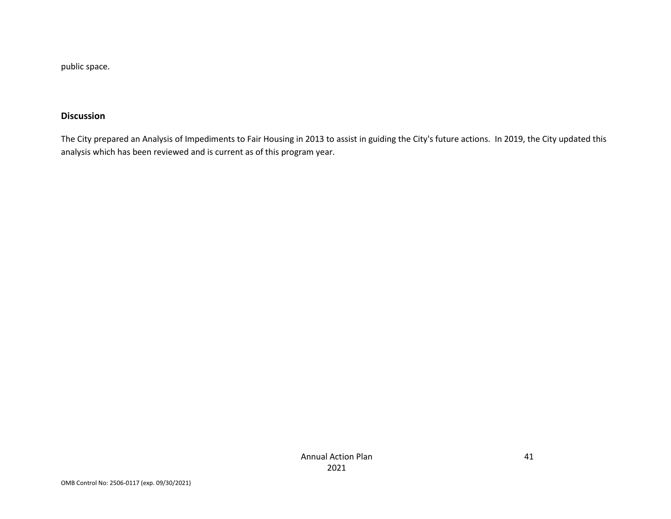public space.

### **Discussion**

The City prepared an Analysis of Impediments to Fair Housing in 2013 to assist in guiding the City's future actions. In 2019, the City updated this analysis which has been reviewed and is current as of this program year.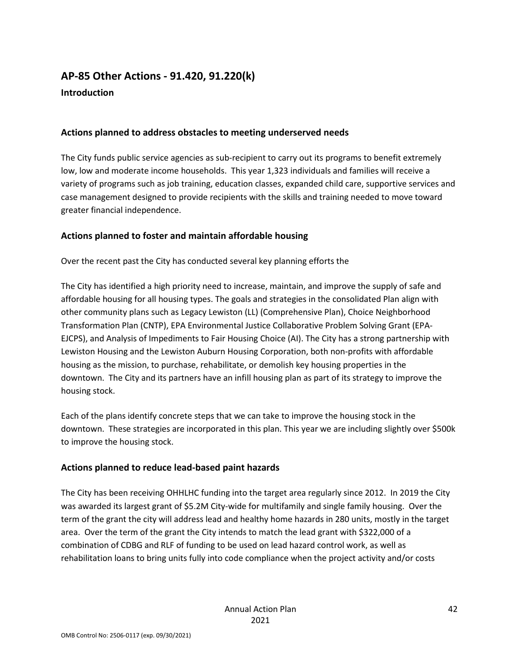## **AP-85 Other Actions - 91.420, 91.220(k) Introduction**

### **Actions planned to address obstacles to meeting underserved needs**

The City funds public service agencies as sub-recipient to carry out its programs to benefit extremely low, low and moderate income households. This year 1,323 individuals and families will receive a variety of programs such as job training, education classes, expanded child care, supportive services and case management designed to provide recipients with the skills and training needed to move toward greater financial independence.

### **Actions planned to foster and maintain affordable housing**

Over the recent past the City has conducted several key planning efforts the

The City has identified a high priority need to increase, maintain, and improve the supply of safe and affordable housing for all housing types. The goals and strategies in the consolidated Plan align with other community plans such as Legacy Lewiston (LL) (Comprehensive Plan), Choice Neighborhood Transformation Plan (CNTP), EPA Environmental Justice Collaborative Problem Solving Grant (EPA-EJCPS), and Analysis of Impediments to Fair Housing Choice (AI). The City has a strong partnership with Lewiston Housing and the Lewiston Auburn Housing Corporation, both non-profits with affordable housing as the mission, to purchase, rehabilitate, or demolish key housing properties in the downtown. The City and its partners have an infill housing plan as part of its strategy to improve the housing stock.

Each of the plans identify concrete steps that we can take to improve the housing stock in the downtown. These strategies are incorporated in this plan. This year we are including slightly over \$500k to improve the housing stock.

### **Actions planned to reduce lead-based paint hazards**

The City has been receiving OHHLHC funding into the target area regularly since 2012. In 2019 the City was awarded its largest grant of \$5.2M City-wide for multifamily and single family housing. Over the term of the grant the city will address lead and healthy home hazards in 280 units, mostly in the target area. Over the term of the grant the City intends to match the lead grant with \$322,000 of a combination of CDBG and RLF of funding to be used on lead hazard control work, as well as rehabilitation loans to bring units fully into code compliance when the project activity and/or costs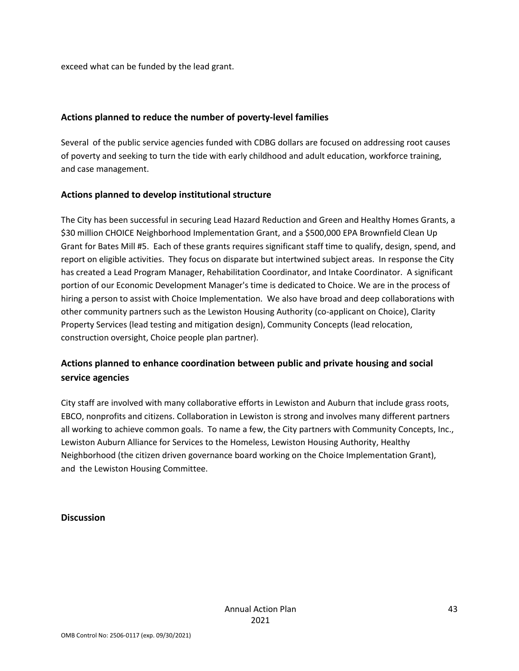exceed what can be funded by the lead grant.

#### **Actions planned to reduce the number of poverty-level families**

Several of the public service agencies funded with CDBG dollars are focused on addressing root causes of poverty and seeking to turn the tide with early childhood and adult education, workforce training, and case management.

#### **Actions planned to develop institutional structure**

The City has been successful in securing Lead Hazard Reduction and Green and Healthy Homes Grants, a \$30 million CHOICE Neighborhood Implementation Grant, and a \$500,000 EPA Brownfield Clean Up Grant for Bates Mill #5. Each of these grants requires significant staff time to qualify, design, spend, and report on eligible activities. They focus on disparate but intertwined subject areas. In response the City has created a Lead Program Manager, Rehabilitation Coordinator, and Intake Coordinator. A significant portion of our Economic Development Manager's time is dedicated to Choice. We are in the process of hiring a person to assist with Choice Implementation. We also have broad and deep collaborations with other community partners such as the Lewiston Housing Authority (co-applicant on Choice), Clarity Property Services (lead testing and mitigation design), Community Concepts (lead relocation, construction oversight, Choice people plan partner).

## **Actions planned to enhance coordination between public and private housing and social service agencies**

City staff are involved with many collaborative efforts in Lewiston and Auburn that include grass roots, EBCO, nonprofits and citizens. Collaboration in Lewiston is strong and involves many different partners all working to achieve common goals. To name a few, the City partners with Community Concepts, Inc., Lewiston Auburn Alliance for Services to the Homeless, Lewiston Housing Authority, Healthy Neighborhood (the citizen driven governance board working on the Choice Implementation Grant), and the Lewiston Housing Committee.

#### **Discussion**